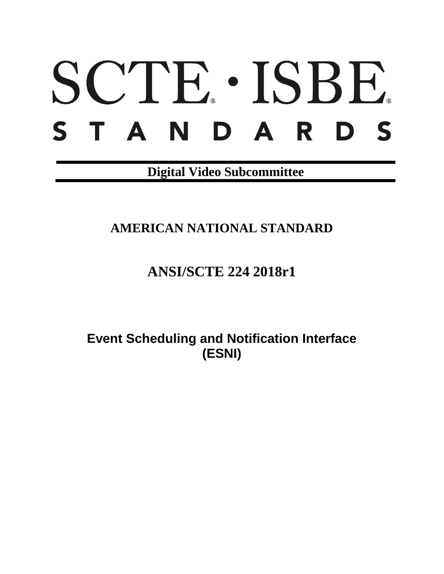# SCTE · ISBE. S T A N D A R D S

**Digital Video Subcommittee**

**AMERICAN NATIONAL STANDARD**

**ANSI/SCTE 224 2018r1**

**Event Scheduling and Notification Interface (ESNI)**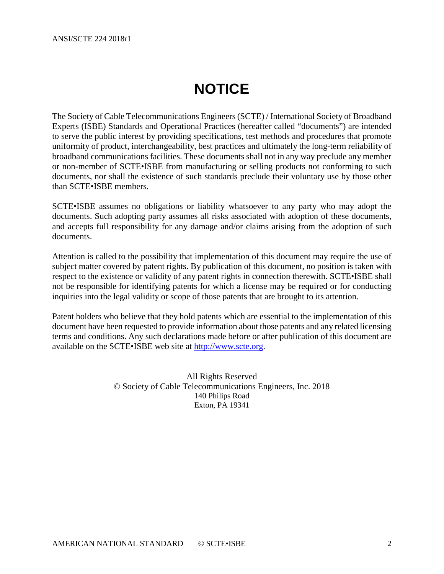# **NOTICE**

<span id="page-1-0"></span>The Society of Cable Telecommunications Engineers (SCTE) / International Society of Broadband Experts (ISBE) Standards and Operational Practices (hereafter called "documents") are intended to serve the public interest by providing specifications, test methods and procedures that promote uniformity of product, interchangeability, best practices and ultimately the long-term reliability of broadband communications facilities. These documents shall not in any way preclude any member or non-member of SCTE•ISBE from manufacturing or selling products not conforming to such documents, nor shall the existence of such standards preclude their voluntary use by those other than SCTE•ISBE members.

SCTE•ISBE assumes no obligations or liability whatsoever to any party who may adopt the documents. Such adopting party assumes all risks associated with adoption of these documents, and accepts full responsibility for any damage and/or claims arising from the adoption of such documents.

Attention is called to the possibility that implementation of this document may require the use of subject matter covered by patent rights. By publication of this document, no position is taken with respect to the existence or validity of any patent rights in connection therewith. SCTE•ISBE shall not be responsible for identifying patents for which a license may be required or for conducting inquiries into the legal validity or scope of those patents that are brought to its attention.

Patent holders who believe that they hold patents which are essential to the implementation of this document have been requested to provide information about those patents and any related licensing terms and conditions. Any such declarations made before or after publication of this document are available on the SCTE•ISBE web site at [http://www.scte.org.](http://www.scte.org/)

> All Rights Reserved © Society of Cable Telecommunications Engineers, Inc. 2018 140 Philips Road Exton, PA 19341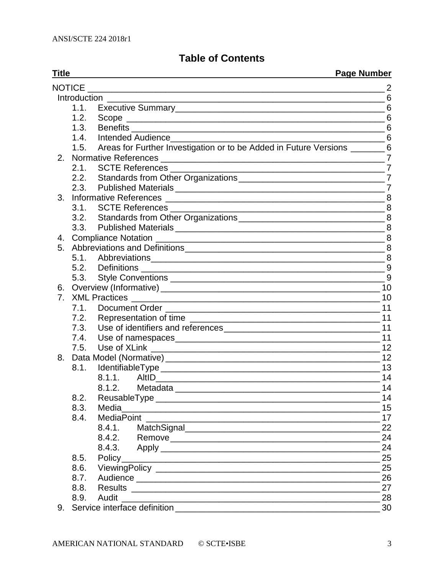## **Table of Contents**

| <b>Title</b> |               | <b>Page Number</b>                                                              |                |
|--------------|---------------|---------------------------------------------------------------------------------|----------------|
|              | <b>NOTICE</b> |                                                                                 | $\overline{2}$ |
|              |               | Introduction                                                                    | 6              |
|              | 1.1.          |                                                                                 |                |
|              | 1.2.          |                                                                                 |                |
|              | 1.3.          |                                                                                 | 6              |
|              | 1.4.          | Intended Audience 6                                                             |                |
|              |               | 1.5. Areas for Further Investigation or to be Added in Future Versions _______6 |                |
| 2.           |               |                                                                                 | 7              |
|              | 2.1.          |                                                                                 |                |
|              |               |                                                                                 |                |
|              |               |                                                                                 | $\overline{7}$ |
| 3.           |               | <b>Informative References</b>                                                   |                |
|              | 3.1.          |                                                                                 |                |
|              |               |                                                                                 |                |
|              |               |                                                                                 |                |
| 4.           |               |                                                                                 |                |
|              |               |                                                                                 |                |
|              |               |                                                                                 | 8              |
|              |               |                                                                                 |                |
|              | 5.3.          |                                                                                 |                |
| 6.           |               |                                                                                 |                |
| 7.           |               | <b>XML Practices</b>                                                            |                |
|              | 7.1.          |                                                                                 |                |
|              |               |                                                                                 | 11             |
|              | 7.3.          |                                                                                 | 11             |
|              | 7.4.          |                                                                                 |                |
|              |               |                                                                                 |                |
| 8.           |               |                                                                                 | 12             |
|              | 8.1.          |                                                                                 | 13             |
|              |               |                                                                                 | 14             |
|              |               | Metadata<br>8.1.2.                                                              | 14             |
|              | 8.2.          |                                                                                 | 14             |
|              | 8.3.          | Media                                                                           | 15             |
|              | 8.4.          | <b>MediaPoint</b>                                                               | 17             |
|              |               | 8.4.1.                                                                          | 22             |
|              |               | 8.4.2.                                                                          | 24             |
|              |               |                                                                                 | 24             |
|              | 8.5.          |                                                                                 | 25             |
|              | 8.6.          |                                                                                 | 25             |
|              | 8.7.          |                                                                                 | 26             |
|              | 8.8.          | <b>Results</b>                                                                  | 27             |
|              | 8.9.          | Audit                                                                           | 28             |
|              |               | Sanjica interface definition                                                    | 30             |

9. Service interface definition [\\_\\_\\_\\_\\_\\_\\_\\_\\_\\_\\_\\_\\_\\_\\_\\_\\_\\_\\_\\_\\_\\_\\_\\_\\_\\_\\_\\_\\_\\_\\_\\_\\_\\_\\_\\_\\_\\_\\_\\_\\_\\_](#page-29-0) 30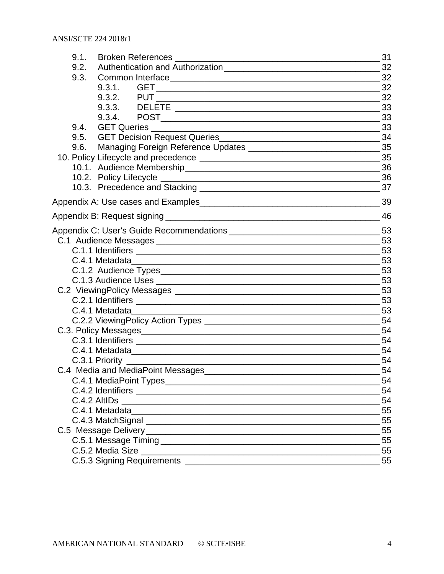| Broken References<br>9.1.                                                      | 31 |
|--------------------------------------------------------------------------------|----|
| 9.2.                                                                           | 32 |
| 9.3.                                                                           | 32 |
| 9.3.1.                                                                         |    |
|                                                                                | 32 |
|                                                                                | 33 |
| 9.3.4.                                                                         |    |
| 9.4.                                                                           |    |
| 9.5.                                                                           | 34 |
| 9.6.                                                                           |    |
|                                                                                |    |
|                                                                                |    |
|                                                                                |    |
|                                                                                |    |
|                                                                                | 39 |
|                                                                                | 46 |
| Appendix C: User's Guide Recommendations ___________________________________53 |    |
|                                                                                |    |
|                                                                                | 53 |
| C.4.1 Metadata                                                                 |    |
|                                                                                |    |
|                                                                                |    |
|                                                                                |    |
|                                                                                |    |
|                                                                                |    |
|                                                                                | 54 |
|                                                                                |    |
|                                                                                | 54 |
| C.4.1 Metadata                                                                 | 54 |
|                                                                                |    |
| C.4 Media and MediaPoint Messages                                              | 54 |
|                                                                                | 54 |
|                                                                                | 54 |
|                                                                                | 54 |
|                                                                                | 55 |
|                                                                                | 55 |
|                                                                                |    |
|                                                                                | 55 |
|                                                                                | 55 |
|                                                                                | 55 |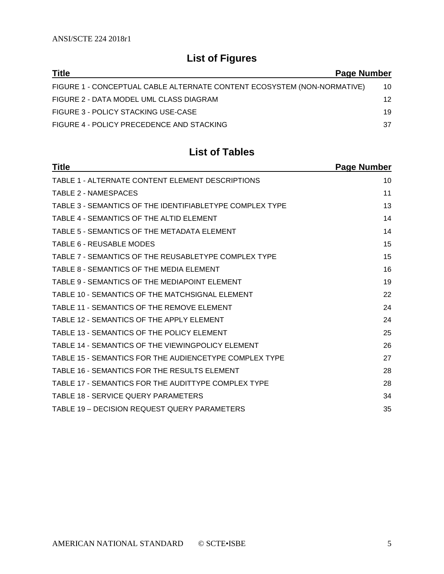## **List of Figures**

| <b>Title</b>                                                            | Page Number |
|-------------------------------------------------------------------------|-------------|
| FIGURE 1 - CONCEPTUAL CABLE ALTERNATE CONTENT ECOSYSTEM (NON-NORMATIVE) | 10          |
| FIGURE 2 - DATA MODEL UML CLASS DIAGRAM                                 | 12          |
| FIGURE 3 - POLICY STACKING USE-CASE                                     | 19          |
| FIGURE 4 - POLICY PRECEDENCE AND STACKING                               | 37          |

## **List of Tables**

| <b>Title</b>                                             | Page Number |
|----------------------------------------------------------|-------------|
| TABLE 1 - ALTERNATE CONTENT ELEMENT DESCRIPTIONS         | 10          |
| TABLE 2 - NAMESPACES                                     | 11          |
| TABLE 3 - SEMANTICS OF THE IDENTIFIABLETYPE COMPLEX TYPE | 13          |
| TABLE 4 - SEMANTICS OF THE ALTID ELEMENT                 | 14          |
| TABLE 5 - SEMANTICS OF THE METADATA ELEMENT              | 14          |
| TABLE 6 - REUSABLE MODES                                 | 15          |
| TABLE 7 - SEMANTICS OF THE REUSABLETYPE COMPLEX TYPE     | 15          |
| TABLE 8 - SEMANTICS OF THE MEDIA ELEMENT                 | 16          |
| TABLE 9 - SEMANTICS OF THE MEDIAPOINT ELEMENT            | 19          |
| TABLE 10 - SEMANTICS OF THE MATCHSIGNAL ELEMENT          | 22          |
| TABLE 11 - SEMANTICS OF THE REMOVE ELEMENT               | 24          |
| TABLE 12 - SEMANTICS OF THE APPLY ELEMENT                | 24          |
| TABLE 13 - SEMANTICS OF THE POLICY ELEMENT               | 25          |
| TABLE 14 - SEMANTICS OF THE VIEWINGPOLICY ELEMENT        | 26          |
| TABLE 15 - SEMANTICS FOR THE AUDIENCETYPE COMPLEX TYPE   | 27          |
| TABLE 16 - SEMANTICS FOR THE RESULTS ELEMENT             | 28          |
| TABLE 17 - SEMANTICS FOR THE AUDITTYPE COMPLEX TYPE      | 28          |
| TABLE 18 - SERVICE QUERY PARAMETERS                      | 34          |
| TABLE 19 - DECISION REQUEST QUERY PARAMETERS             | 35          |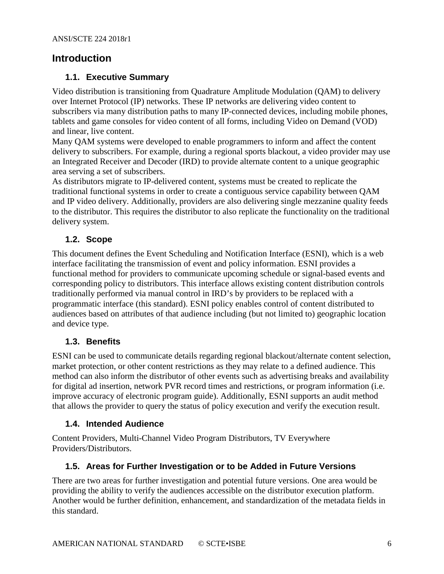## <span id="page-5-1"></span><span id="page-5-0"></span>**Introduction**

## **1.1. Executive Summary**

Video distribution is transitioning from Quadrature Amplitude Modulation (QAM) to delivery over Internet Protocol (IP) networks. These IP networks are delivering video content to subscribers via many distribution paths to many IP-connected devices, including mobile phones, tablets and game consoles for video content of all forms, including Video on Demand (VOD) and linear, live content.

Many QAM systems were developed to enable programmers to inform and affect the content delivery to subscribers. For example, during a regional sports blackout, a video provider may use an Integrated Receiver and Decoder (IRD) to provide alternate content to a unique geographic area serving a set of subscribers.

As distributors migrate to IP-delivered content, systems must be created to replicate the traditional functional systems in order to create a contiguous service capability between QAM and IP video delivery. Additionally, providers are also delivering single mezzanine quality feeds to the distributor. This requires the distributor to also replicate the functionality on the traditional delivery system.

## <span id="page-5-2"></span>**1.2. Scope**

This document defines the Event Scheduling and Notification Interface (ESNI), which is a web interface facilitating the transmission of event and policy information. ESNI provides a functional method for providers to communicate upcoming schedule or signal-based events and corresponding policy to distributors. This interface allows existing content distribution controls traditionally performed via manual control in IRD's by providers to be replaced with a programmatic interface (this standard). ESNI policy enables control of content distributed to audiences based on attributes of that audience including (but not limited to) geographic location and device type.

#### <span id="page-5-3"></span>**1.3. Benefits**

ESNI can be used to communicate details regarding regional blackout/alternate content selection, market protection, or other content restrictions as they may relate to a defined audience. This method can also inform the distributor of other events such as advertising breaks and availability for digital ad insertion, network PVR record times and restrictions, or program information (i.e. improve accuracy of electronic program guide). Additionally, ESNI supports an audit method that allows the provider to query the status of policy execution and verify the execution result.

#### <span id="page-5-4"></span>**1.4. Intended Audience**

Content Providers, Multi-Channel Video Program Distributors, TV Everywhere Providers/Distributors.

#### <span id="page-5-5"></span>**1.5. Areas for Further Investigation or to be Added in Future Versions**

There are two areas for further investigation and potential future versions. One area would be providing the ability to verify the audiences accessible on the distributor execution platform. Another would be further definition, enhancement, and standardization of the metadata fields in this standard.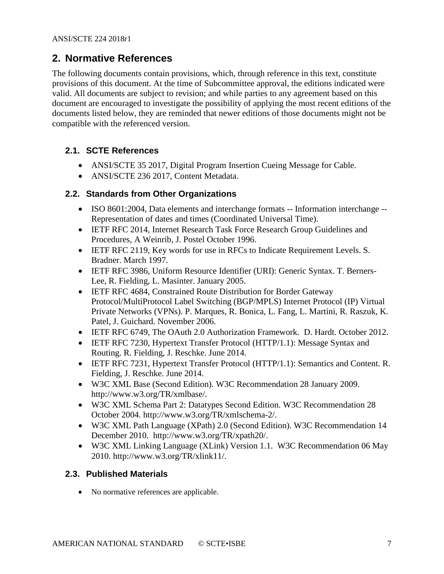## <span id="page-6-0"></span>**2. Normative References**

The following documents contain provisions, which, through reference in this text, constitute provisions of this document. At the time of Subcommittee approval, the editions indicated were valid. All documents are subject to revision; and while parties to any agreement based on this document are encouraged to investigate the possibility of applying the most recent editions of the documents listed below, they are reminded that newer editions of those documents might not be compatible with the referenced version.

## <span id="page-6-1"></span>**2.1. SCTE References**

- ANSI/SCTE 35 2017, Digital Program Insertion Cueing Message for Cable.
- ANSI/SCTE 236 2017, Content Metadata.

## <span id="page-6-2"></span>**2.2. Standards from Other Organizations**

- ISO 8601:2004, Data elements and interchange formats -- Information interchange -- Representation of dates and times (Coordinated Universal Time).
- IETF RFC 2014, Internet Research Task Force Research Group Guidelines and Procedures, A Weinrib, J. Postel October 1996.
- IETF RFC 2119, Key words for use in RFCs to Indicate Requirement Levels. S. Bradner. March 1997.
- IETF RFC 3986, Uniform Resource Identifier (URI): Generic Syntax. T. Berners-Lee, R. Fielding, L. Masinter. January 2005.
- IETF RFC 4684, Constrained Route Distribution for Border Gateway Protocol/MultiProtocol Label Switching (BGP/MPLS) Internet Protocol (IP) Virtual Private Networks (VPNs). P. Marques, R. Bonica, L. Fang, L. Martini, R. Raszuk, K. Patel, J. Guichard. November 2006.
- IETF RFC 6749, The OAuth 2.0 Authorization Framework. D. Hardt. October 2012.
- IETF RFC 7230, Hypertext Transfer Protocol (HTTP/1.1): Message Syntax and Routing. R. Fielding, J. Reschke. June 2014.
- IETF RFC 7231, Hypertext Transfer Protocol (HTTP/1.1): Semantics and Content. R. Fielding, J. Reschke. June 2014.
- W3C XML Base (Second Edition). W3C Recommendation 28 January 2009. [http://www.w3.org/TR/xmlbase/.](http://www.w3.org/TR/xmlbase/)
- W3C XML Schema Part 2: Datatypes Second Edition. W3C Recommendation 28 October 2004. [http://www.w3.org/TR/xmlschema-2/.](http://www.w3.org/TR/xmlschema-2/)
- W3C XML Path Language (XPath) 2.0 (Second Edition). W3C Recommendation 14 December 2010. [http://www.w3.org/TR/xpath20/.](http://www.w3.org/TR/xpath20/)
- W3C XML Linking Language (XLink) Version 1.1. W3C Recommendation 06 May 2010. http://www.w3.org/TR/xlink11/.

## <span id="page-6-3"></span>**2.3. Published Materials**

• No normative references are applicable.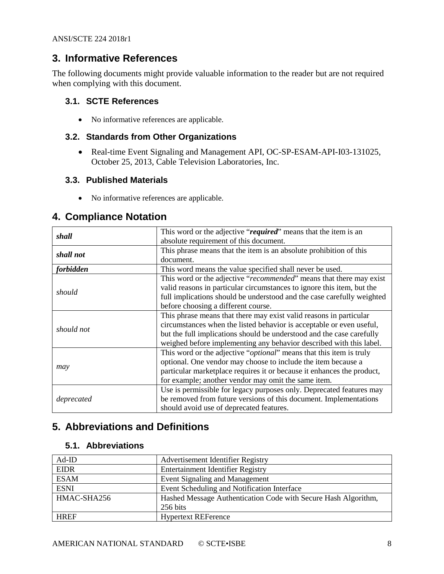## <span id="page-7-0"></span>**3. Informative References**

The following documents might provide valuable information to the reader but are not required when complying with this document.

#### <span id="page-7-1"></span>**3.1. SCTE References**

• No informative references are applicable.

## <span id="page-7-2"></span>**3.2. Standards from Other Organizations**

• Real-time Event Signaling and Management API, OC-SP-ESAM-API-I03-131025, October 25, 2013, Cable Television Laboratories, Inc.

#### <span id="page-7-3"></span>**3.3. Published Materials**

• No informative references are applicable.

## <span id="page-7-4"></span>**4. Compliance Notation**

| shall                                                                 | This word or the adjective "required" means that the item is an              |  |
|-----------------------------------------------------------------------|------------------------------------------------------------------------------|--|
|                                                                       | absolute requirement of this document.                                       |  |
|                                                                       | This phrase means that the item is an absolute prohibition of this           |  |
| shall not                                                             | document.                                                                    |  |
| forbidden<br>This word means the value specified shall never be used. |                                                                              |  |
|                                                                       | This word or the adjective "recommended" means that there may exist          |  |
|                                                                       | valid reasons in particular circumstances to ignore this item, but the       |  |
| should                                                                | full implications should be understood and the case carefully weighted       |  |
|                                                                       | before choosing a different course.                                          |  |
|                                                                       | This phrase means that there may exist valid reasons in particular           |  |
| should not                                                            | circumstances when the listed behavior is acceptable or even useful,         |  |
|                                                                       | but the full implications should be understood and the case carefully        |  |
|                                                                       | weighed before implementing any behavior described with this label.          |  |
|                                                                       | This word or the adjective " <i>optional</i> " means that this item is truly |  |
|                                                                       | optional. One vendor may choose to include the item because a                |  |
| may                                                                   | particular marketplace requires it or because it enhances the product,       |  |
|                                                                       | for example; another vendor may omit the same item.                          |  |
|                                                                       | Use is permissible for legacy purposes only. Deprecated features may         |  |
| deprecated                                                            | be removed from future versions of this document. Implementations            |  |
|                                                                       | should avoid use of deprecated features.                                     |  |

## <span id="page-7-5"></span>**5. Abbreviations and Definitions**

#### <span id="page-7-6"></span>**5.1. Abbreviations**

| $Ad$ -ID    | Advertisement Identifier Registry                              |
|-------------|----------------------------------------------------------------|
| <b>EIDR</b> | <b>Entertainment Identifier Registry</b>                       |
| <b>ESAM</b> | <b>Event Signaling and Management</b>                          |
| <b>ESNI</b> | Event Scheduling and Notification Interface                    |
| HMAC-SHA256 | Hashed Message Authentication Code with Secure Hash Algorithm, |
|             | 256 bits                                                       |
| <b>HREF</b> | <b>Hypertext REFerence</b>                                     |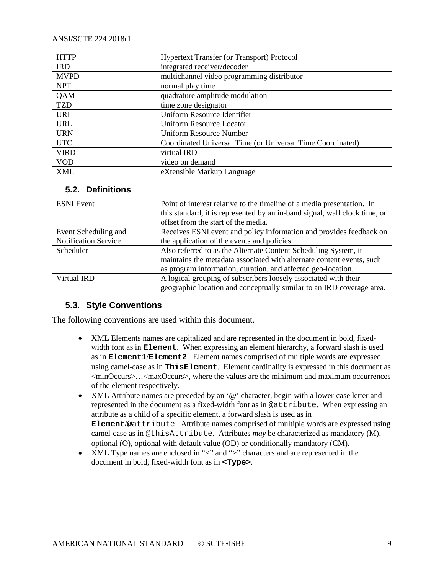| <b>HTTP</b>                                   | Hypertext Transfer (or Transport) Protocol                 |  |  |
|-----------------------------------------------|------------------------------------------------------------|--|--|
| integrated receiver/decoder<br><b>IRD</b>     |                                                            |  |  |
| <b>MVPD</b>                                   | multichannel video programming distributor                 |  |  |
| <b>NPT</b>                                    | normal play time                                           |  |  |
| <b>QAM</b>                                    | quadrature amplitude modulation                            |  |  |
| <b>TZD</b>                                    | time zone designator                                       |  |  |
| <b>URI</b>                                    | Uniform Resource Identifier                                |  |  |
| <b>URL</b><br><b>Uniform Resource Locator</b> |                                                            |  |  |
| <b>URN</b>                                    | <b>Uniform Resource Number</b>                             |  |  |
| <b>UTC</b>                                    | Coordinated Universal Time (or Universal Time Coordinated) |  |  |
| <b>VIRD</b>                                   | virtual IRD                                                |  |  |
| <b>VOD</b>                                    | video on demand                                            |  |  |
| <b>XML</b>                                    | eXtensible Markup Language                                 |  |  |

#### <span id="page-8-0"></span>**5.2. Definitions**

| <b>ESNI</b> Event    | Point of interest relative to the timeline of a media presentation. In     |
|----------------------|----------------------------------------------------------------------------|
|                      | this standard, it is represented by an in-band signal, wall clock time, or |
|                      | offset from the start of the media.                                        |
| Event Scheduling and | Receives ESNI event and policy information and provides feedback on        |
| Notification Service | the application of the events and policies.                                |
| Scheduler            | Also referred to as the Alternate Content Scheduling System, it            |
|                      | maintains the metadata associated with alternate content events, such      |
|                      | as program information, duration, and affected geo-location.               |
| Virtual IRD          | A logical grouping of subscribers loosely associated with their            |
|                      | geographic location and conceptually similar to an IRD coverage area.      |

#### <span id="page-8-1"></span>**5.3. Style Conventions**

The following conventions are used within this document.

- XML Elements names are capitalized and are represented in the document in bold, fixedwidth font as in **Element**. When expressing an element hierarchy, a forward slash is used as in **Element1**/**Element2**. Element names comprised of multiple words are expressed using camel-case as in **ThisElement**. Element cardinality is expressed in this document as <minOccurs>…<maxOccurs>, where the values are the minimum and maximum occurrences of the element respectively.
- XML Attribute names are preceded by an '@' character, begin with a lower-case letter and represented in the document as a fixed-width font as in @attribute. When expressing an attribute as a child of a specific element, a forward slash is used as in **Element**/@attribute. Attribute names comprised of multiple words are expressed using camel-case as in @thisAttribute. Attributes *may* be characterized as mandatory (M), optional (O), optional with default value (OD) or conditionally mandatory (CM).
- XML Type names are enclosed in "<" and ">" characters and are represented in the document in bold, fixed-width font as in **<Type>**.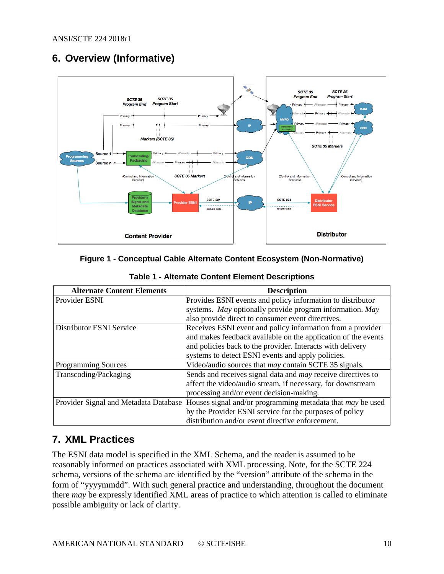## <span id="page-9-0"></span>**6. Overview (Informative)**



#### <span id="page-9-2"></span>**Figure 1 - Conceptual Cable Alternate Content Ecosystem (Non-Normative)**

<span id="page-9-3"></span>

| <b>Alternate Content Elements</b>     | <b>Description</b>                                                  |
|---------------------------------------|---------------------------------------------------------------------|
| Provider ESNI                         | Provides ESNI events and policy information to distributor          |
|                                       | systems. May optionally provide program information. May            |
|                                       | also provide direct to consumer event directives.                   |
| Distributor ESNI Service              | Receives ESNI event and policy information from a provider          |
|                                       | and makes feedback available on the application of the events       |
|                                       | and policies back to the provider. Interacts with delivery          |
|                                       | systems to detect ESNI events and apply policies.                   |
| <b>Programming Sources</b>            | Video/audio sources that may contain SCTE 35 signals.               |
| Transcoding/Packaging                 | Sends and receives signal data and <i>may</i> receive directives to |
|                                       | affect the video/audio stream, if necessary, for downstream         |
|                                       | processing and/or event decision-making.                            |
| Provider Signal and Metadata Database | Houses signal and/or programming metadata that <i>may</i> be used   |
|                                       | by the Provider ESNI service for the purposes of policy             |
|                                       | distribution and/or event directive enforcement.                    |

#### **Table 1 - Alternate Content Element Descriptions**

## <span id="page-9-1"></span>**7. XML Practices**

The ESNI data model is specified in the XML Schema, and the reader is assumed to be reasonably informed on practices associated with XML processing. Note, for the SCTE 224 schema, versions of the schema are identified by the "version" attribute of the schema in the form of "yyyymmdd". With such general practice and understanding, throughout the document there *may* be expressly identified XML areas of practice to which attention is called to eliminate possible ambiguity or lack of clarity.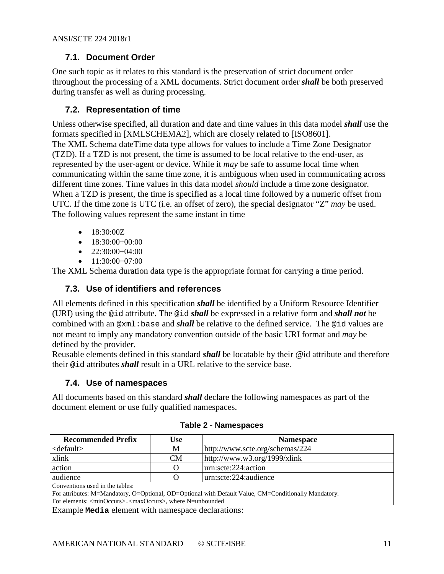## <span id="page-10-0"></span>**7.1. Document Order**

One such topic as it relates to this standard is the preservation of strict document order throughout the processing of a XML documents. Strict document order *shall* be both preserved during transfer as well as during processing.

## <span id="page-10-1"></span>**7.2. Representation of time**

Unless otherwise specified, all duration and date and time values in this data model *shall* use the formats specified in [XMLSCHEMA2], which are closely related to [ISO8601]. The XML Schema dateTime data type allows for values to include a Time Zone Designator (TZD). If a TZD is not present, the time is assumed to be local relative to the end-user, as represented by the user-agent or device. While it *may* be safe to assume local time when communicating within the same time zone, it is ambiguous when used in communicating across different time zones. Time values in this data model *should* include a time zone designator. When a TZD is present, the time is specified as a local time followed by a numeric offset from UTC. If the time zone is UTC (i.e. an offset of zero), the special designator "Z" *may* be used. The following values represent the same instant in time

- $\bullet$  18:30:00Z
- $\bullet$  18:30:00+00:00
- $\bullet$  22:30:00+04:00
- 11:30:00−07:00

<span id="page-10-2"></span>The XML Schema duration data type is the appropriate format for carrying a time period.

## **7.3. Use of identifiers and references**

All elements defined in this specification *shall* be identified by a Uniform Resource Identifier (URI) using the @id attribute. The @id *shall* be expressed in a relative form and *shall not* be combined with an @xml:base and *shall* be relative to the defined service. The @id values are not meant to imply any mandatory convention outside of the basic URI format and *may* be defined by the provider.

Reusable elements defined in this standard *shall* be locatable by their @id attribute and therefore their @id attributes *shall* result in a URL relative to the service base.

## <span id="page-10-3"></span>**7.4. Use of namespaces**

<span id="page-10-4"></span>All documents based on this standard *shall* declare the following namespaces as part of the document element or use fully qualified namespaces.

| <b>Recommended Prefix</b>                                                                            | Use       | <b>Namespace</b>                |  |
|------------------------------------------------------------------------------------------------------|-----------|---------------------------------|--|
| $<$ default $>$                                                                                      | М         | http://www.scte.org/schemas/224 |  |
| xlink                                                                                                | <b>CM</b> | http://www.w3.org/1999/xlink    |  |
| action                                                                                               | $\Omega$  | urn:scte:224:action             |  |
| audience                                                                                             |           | urn:scte:224:audience           |  |
| Conventions used in the tables:                                                                      |           |                                 |  |
| For attributes: M=Mandatory, O=Optional, OD=Optional with Default Value, CM=Conditionally Mandatory. |           |                                 |  |
| For elements: <minoccurs><maxoccurs>, where N=unbounded</maxoccurs></minoccurs>                      |           |                                 |  |

**Table 2 - Namespaces**

For elements: <minOccurs>..<maxOccurs>, where N=unbounded

Example **Media** element with namespace declarations: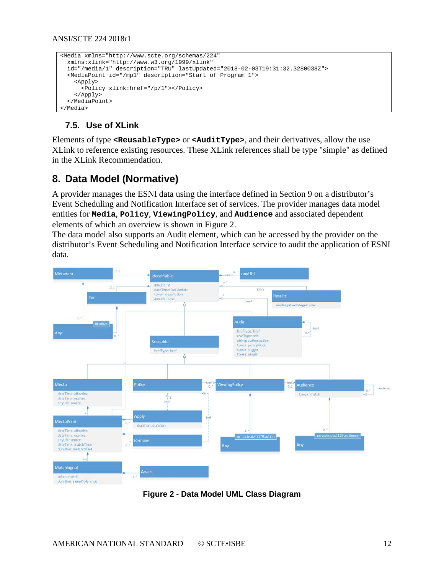```
<Media xmlns="http://www.scte.org/schemas/224"
  xmlns:xlink="http://www.w3.org/1999/xlink" 
  id="/media/1" description="TRU" lastUpdated="2018-02-03T19:31:32.3280038Z">
  <MediaPoint id="/mp1" description="Start of Program 1">
     <Apply>
       <Policy xlink:href="/p/1"></Policy>
     </Apply>
   </MediaPoint>
</Media>
```
## <span id="page-11-0"></span>**7.5. Use of XLink**

Elements of type **<ReusableType>** or **<AuditType>**, and their derivatives, allow the use XLink to reference existing resources. These XLink references shall be type "simple" as defined in the XLink Recommendation.

## <span id="page-11-1"></span>**8. Data Model (Normative)**

A provider manages the ESNI data using the interface defined in Section [9](#page-29-0) on a distributor's Event Scheduling and Notification Interface set of services. The provider manages data model entities for **Media**, **Policy**, **ViewingPolicy**, and **Audience** and associated dependent elements of which an overview is shown in [Figure 2.](#page-11-2)

The data model also supports an Audit element, which can be accessed by the provider on the distributor's Event Scheduling and Notification Interface service to audit the application of ESNI data.



<span id="page-11-2"></span>**Figure 2 - Data Model UML Class Diagram**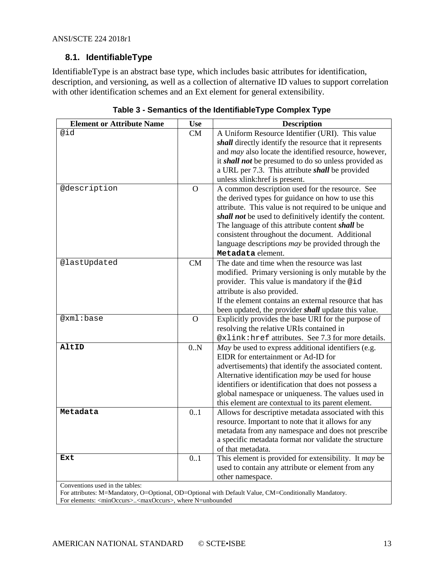## <span id="page-12-0"></span>**8.1. IdentifiableType**

IdentifiableType is an abstract base type, which includes basic attributes for identification, description, and versioning, as well as a collection of alternative ID values to support correlation with other identification schemes and an Ext element for general extensibility.

<span id="page-12-1"></span>

| <b>Element or Attribute Name</b>                                                                                                            | <b>Use</b> | <b>Description</b>                                                         |
|---------------------------------------------------------------------------------------------------------------------------------------------|------------|----------------------------------------------------------------------------|
| @id                                                                                                                                         | CM         | A Uniform Resource Identifier (URI). This value                            |
|                                                                                                                                             |            | shall directly identify the resource that it represents                    |
|                                                                                                                                             |            | and may also locate the identified resource, however,                      |
|                                                                                                                                             |            | it shall not be presumed to do so unless provided as                       |
|                                                                                                                                             |            | a URL per 7.3. This attribute shall be provided                            |
|                                                                                                                                             |            | unless xlink: href is present.                                             |
| @description                                                                                                                                | $\Omega$   | A common description used for the resource. See                            |
|                                                                                                                                             |            | the derived types for guidance on how to use this                          |
|                                                                                                                                             |            | attribute. This value is not required to be unique and                     |
|                                                                                                                                             |            | shall not be used to definitively identify the content.                    |
|                                                                                                                                             |            | The language of this attribute content shall be                            |
|                                                                                                                                             |            | consistent throughout the document. Additional                             |
|                                                                                                                                             |            | language descriptions may be provided through the                          |
|                                                                                                                                             |            | Metadata element.                                                          |
| @lastUpdated                                                                                                                                | CM         | The date and time when the resource was last                               |
|                                                                                                                                             |            | modified. Primary versioning is only mutable by the                        |
|                                                                                                                                             |            | provider. This value is mandatory if the @id                               |
|                                                                                                                                             |            | attribute is also provided.                                                |
|                                                                                                                                             |            | If the element contains an external resource that has                      |
|                                                                                                                                             |            | been updated, the provider <i>shall</i> update this value.                 |
| @xml:base                                                                                                                                   | $\Omega$   | Explicitly provides the base URI for the purpose of                        |
|                                                                                                                                             |            | resolving the relative URIs contained in                                   |
|                                                                                                                                             |            | @xlink: href attributes. See 7.3 for more details.                         |
| AltID                                                                                                                                       | 0.N        | May be used to express additional identifiers (e.g.                        |
|                                                                                                                                             |            | EIDR for entertainment or Ad-ID for                                        |
|                                                                                                                                             |            | advertisements) that identify the associated content.                      |
|                                                                                                                                             |            | Alternative identification may be used for house                           |
|                                                                                                                                             |            | identifiers or identification that does not possess a                      |
|                                                                                                                                             |            | global namespace or uniqueness. The values used in                         |
| Metadata                                                                                                                                    | 0.1        | this element are contextual to its parent element.                         |
|                                                                                                                                             |            | Allows for descriptive metadata associated with this                       |
|                                                                                                                                             |            | resource. Important to note that it allows for any                         |
|                                                                                                                                             |            | metadata from any namespace and does not prescribe                         |
|                                                                                                                                             |            | a specific metadata format nor validate the structure<br>of that metadata. |
| Ext                                                                                                                                         | 0.1        |                                                                            |
|                                                                                                                                             |            | This element is provided for extensibility. It may be                      |
|                                                                                                                                             |            | used to contain any attribute or element from any                          |
| Conventions used in the tables:                                                                                                             |            | other namespace.                                                           |
| $\mathcal{L}$ and $\mathcal{L}$ and $\mathcal{L}$ and $\mathcal{L}$ and $\mathcal{L}$ and $\mathcal{L}$ and $\mathcal{L}$ and $\mathcal{L}$ |            | $1.37.1 \quad \text{C} M \quad \text{C}$                                   |

**Table 3 - Semantics of the IdentifiableType Complex Type**

For attributes: M=Mandatory, O=Optional, OD=Optional with Default Value, CM=Conditionally Mandatory. For elements: <minOccurs>..<maxOccurs>, where N=unbounded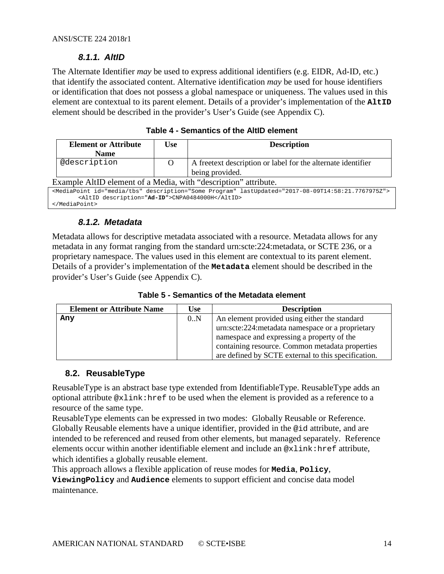## *8.1.1. AltID*

<span id="page-13-0"></span>The Alternate Identifier *may* be used to express additional identifiers (e.g. EIDR, Ad-ID, etc.) that identify the associated content. Alternative identification *may* be used for house identifiers or identification that does not possess a global namespace or uniqueness. The values used in this element are contextual to its parent element. Details of a provider's implementation of the **AltID** element should be described in the provider's User's Guide (see Appendix C).

<span id="page-13-3"></span>

| <b>Element or Attribute</b>                                                                                                                                             | Use      | <b>Description</b>                                            |  |
|-------------------------------------------------------------------------------------------------------------------------------------------------------------------------|----------|---------------------------------------------------------------|--|
| <b>Name</b>                                                                                                                                                             |          |                                                               |  |
| @description                                                                                                                                                            | $\Omega$ | A free text description or label for the alternate identifier |  |
|                                                                                                                                                                         |          | being provided.                                               |  |
| Example AltID element of a Media, with "description" attribute.                                                                                                         |          |                                                               |  |
| <mediapoint description="Some Program" id="media/tbs" lastupdated="2017-08-09T14:58:21.7767975Z"><br/><altid description="Ad-ID">CNPA0484000H</altid><br/></mediapoint> |          |                                                               |  |

| Table 4 - Semantics of the AltID element |  |  |
|------------------------------------------|--|--|
|------------------------------------------|--|--|

## *8.1.2. Metadata*

<span id="page-13-1"></span>Metadata allows for descriptive metadata associated with a resource. Metadata allows for any metadata in any format ranging from the standard urn:scte:224:metadata, or SCTE 236, or a proprietary namespace. The values used in this element are contextual to its parent element. Details of a provider's implementation of the **Metadata** element should be described in the provider's User's Guide (see Appendix C).

**Table 5 - Semantics of the Metadata element**

<span id="page-13-4"></span>

| <b>Element or Attribute Name</b> | <b>Use</b> | <b>Description</b>                                  |
|----------------------------------|------------|-----------------------------------------------------|
| Any                              | 0.N        | An element provided using either the standard       |
|                                  |            | urn:scte:224: metadata namespace or a proprietary   |
|                                  |            | namespace and expressing a property of the          |
|                                  |            | containing resource. Common metadata properties     |
|                                  |            | are defined by SCTE external to this specification. |

#### <span id="page-13-2"></span>**8.2. ReusableType**

ReusableType is an abstract base type extended from IdentifiableType. ReusableType adds an optional attribute @xlink:href to be used when the element is provided as a reference to a resource of the same type.

ReusableType elements can be expressed in two modes: Globally Reusable or Reference. Globally Reusable elements have a unique identifier, provided in the @id attribute, and are intended to be referenced and reused from other elements, but managed separately. Reference elements occur within another identifiable element and include an @xlink:href attribute, which identifies a globally reusable element.

This approach allows a flexible application of reuse modes for **Media**, **Policy**,

**ViewingPolicy** and **Audience** elements to support efficient and concise data model maintenance.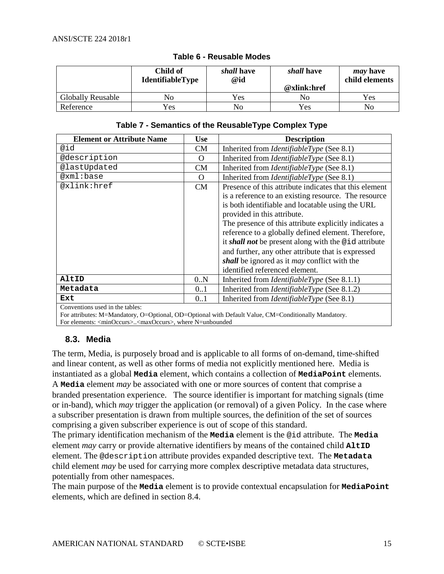<span id="page-14-1"></span>

|                          | Child of<br><b>IdentifiableType</b> | shall have<br>@id | shall have<br>@xlink:href | <i>may</i> have<br>child elements |
|--------------------------|-------------------------------------|-------------------|---------------------------|-----------------------------------|
| <b>Globally Reusable</b> | No                                  | Yes               | No                        | Yes                               |
| Reference                | Yes                                 | No                | Yes                       | No                                |

#### **Table 6 - Reusable Modes**

#### **Table 7 - Semantics of the ReusableType Complex Type**

<span id="page-14-2"></span>

| <b>Element or Attribute Name</b> | <b>Use</b> | <b>Description</b>                                     |
|----------------------------------|------------|--------------------------------------------------------|
| @id                              | <b>CM</b>  | Inherited from <i>IdentifiableType</i> (See 8.1)       |
| @description                     | O          | Inherited from <i>IdentifiableType</i> (See 8.1)       |
| @lastUpdated                     | <b>CM</b>  | Inherited from <i>IdentifiableType</i> (See 8.1)       |
| @xml:base                        | O          | Inherited from <i>IdentifiableType</i> (See 8.1)       |
| @xlink:href                      | CM         | Presence of this attribute indicates that this element |
|                                  |            | is a reference to an existing resource. The resource   |
|                                  |            | is both identifiable and locatable using the URL       |
|                                  |            | provided in this attribute.                            |
|                                  |            | The presence of this attribute explicitly indicates a  |
|                                  |            | reference to a globally defined element. Therefore,    |
|                                  |            | it shall not be present along with the @id attribute   |
|                                  |            | and further, any other attribute that is expressed     |
|                                  |            | shall be ignored as it <i>may</i> conflict with the    |
|                                  |            | identified referenced element.                         |
| AltID                            | 0.N        | Inherited from <i>IdentifiableType</i> (See 8.1.1)     |
| Metadata                         | 0.1        | Inherited from <i>IdentifiableType</i> (See 8.1.2)     |
| Ext                              | 0.1        | Inherited from <i>IdentifiableType</i> (See 8.1)       |
| Conventions used in the tables.  |            |                                                        |

Conventions used in the tables:

For attributes: M=Mandatory, O=Optional, OD=Optional with Default Value, CM=Conditionally Mandatory. For elements: <minOccurs>..<maxOccurs>, where N=unbounded

#### <span id="page-14-0"></span>**8.3. Media**

The term, Media, is purposely broad and is applicable to all forms of on-demand, time-shifted and linear content, as well as other forms of media not explicitly mentioned here. Media is instantiated as a global **Media** element, which contains a collection of **MediaPoint** elements. A **Media** element *may* be associated with one or more sources of content that comprise a branded presentation experience. The source identifier is important for matching signals (time or in-band), which *may* trigger the application (or removal) of a given Policy. In the case where a subscriber presentation is drawn from multiple sources, the definition of the set of sources comprising a given subscriber experience is out of scope of this standard.

The primary identification mechanism of the **Media** element is the @id attribute. The **Media** element *may* carry or provide alternative identifiers by means of the contained child **AltID** element. The @description attribute provides expanded descriptive text. The **Metadata** child element *may* be used for carrying more complex descriptive metadata data structures, potentially from other namespaces.

The main purpose of the **Media** element is to provide contextual encapsulation for **MediaPoint** elements, which are defined in section [8.4.](#page-16-0)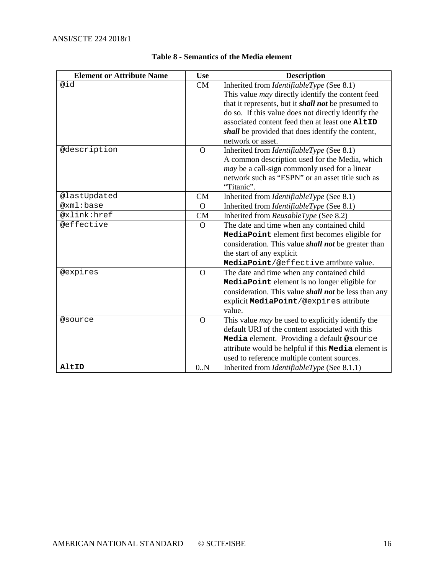<span id="page-15-0"></span>

| <b>Element or Attribute Name</b> | <b>Use</b>     | <b>Description</b>                                          |
|----------------------------------|----------------|-------------------------------------------------------------|
| @id                              | CM             | Inherited from <i>IdentifiableType</i> (See 8.1)            |
|                                  |                | This value <i>may</i> directly identify the content feed    |
|                                  |                | that it represents, but it <i>shall not</i> be presumed to  |
|                                  |                | do so. If this value does not directly identify the         |
|                                  |                | associated content feed then at least one AltID             |
|                                  |                | shall be provided that does identify the content,           |
|                                  |                | network or asset.                                           |
| @description                     | $\overline{O}$ | Inherited from <i>IdentifiableType</i> (See 8.1)            |
|                                  |                | A common description used for the Media, which              |
|                                  |                | <i>may</i> be a call-sign commonly used for a linear        |
|                                  |                | network such as "ESPN" or an asset title such as            |
|                                  |                | "Titanic".                                                  |
| @lastUpdated                     | <b>CM</b>      | Inherited from <i>IdentifiableType</i> (See 8.1)            |
| @xml:base                        | $\Omega$       | Inherited from <i>IdentifiableType</i> (See 8.1)            |
| @xlink:href                      | <b>CM</b>      | Inherited from ReusableType (See 8.2)                       |
| @effective                       | $\overline{O}$ | The date and time when any contained child                  |
|                                  |                | MediaPoint element first becomes eligible for               |
|                                  |                | consideration. This value <i>shall not</i> be greater than  |
|                                  |                | the start of any explicit                                   |
|                                  |                | MediaPoint/@effective attribute value.                      |
| @expires                         | $\mathbf{O}$   | The date and time when any contained child                  |
|                                  |                | MediaPoint element is no longer eligible for                |
|                                  |                | consideration. This value <i>shall not</i> be less than any |
|                                  |                | explicit MediaPoint/@expires attribute                      |
|                                  |                | value.                                                      |
| @source                          | $\Omega$       | This value <i>may</i> be used to explicitly identify the    |
|                                  |                | default URI of the content associated with this             |
|                                  |                | Media element. Providing a default @source                  |
|                                  |                | attribute would be helpful if this <b>Media</b> element is  |
|                                  |                | used to reference multiple content sources.                 |
| AltID                            | 0.N            | Inherited from <i>IdentifiableType</i> (See 8.1.1)          |

#### **Table 8 - Semantics of the Media element**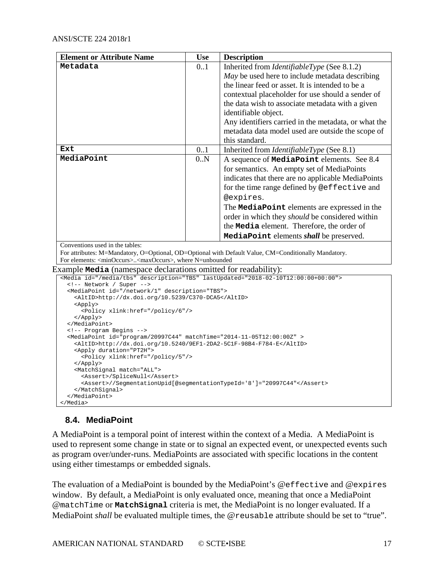| <b>Element or Attribute Name</b>                                                          | <b>Use</b> | <b>Description</b>                                                                                   |
|-------------------------------------------------------------------------------------------|------------|------------------------------------------------------------------------------------------------------|
| Metadata                                                                                  | 0.1        | Inherited from <i>IdentifiableType</i> (See 8.1.2)                                                   |
|                                                                                           |            | May be used here to include metadata describing                                                      |
|                                                                                           |            | the linear feed or asset. It is intended to be a                                                     |
|                                                                                           |            | contextual placeholder for use should a sender of                                                    |
|                                                                                           |            | the data wish to associate metadata with a given                                                     |
|                                                                                           |            | identifiable object.                                                                                 |
|                                                                                           |            | Any identifiers carried in the metadata, or what the                                                 |
|                                                                                           |            | metadata data model used are outside the scope of                                                    |
|                                                                                           |            | this standard.                                                                                       |
| Ext                                                                                       | 0.1        | Inherited from <i>IdentifiableType</i> (See 8.1)                                                     |
| MediaPoint                                                                                | 0.N        | A sequence of <b>MediaPoint</b> elements. See 8.4                                                    |
|                                                                                           |            | for semantics. An empty set of MediaPoints                                                           |
|                                                                                           |            | indicates that there are no applicable MediaPoints                                                   |
|                                                                                           |            | for the time range defined by @effective and                                                         |
|                                                                                           |            | @expires.                                                                                            |
|                                                                                           |            | The MediaPoint elements are expressed in the                                                         |
|                                                                                           |            | order in which they <i>should</i> be considered within                                               |
|                                                                                           |            | the Media element. Therefore, the order of                                                           |
|                                                                                           |            | MediaPoint elements shall be preserved.                                                              |
| Conventions used in the tables:                                                           |            |                                                                                                      |
|                                                                                           |            | For attributes: M=Mandatory, O=Optional, OD=Optional with Default Value, CM=Conditionally Mandatory. |
| For elements: <minoccurs><maxoccurs>, where N=unbounded</maxoccurs></minoccurs>           |            |                                                                                                      |
| Example <b>Media</b> (namespace declarations omitted for readability):                    |            |                                                                                                      |
| <media description="TBS" id="/media/tbs" lastupdated="2018-02-10T12:00:00+00:00"></media> |            |                                                                                                      |

```
 <!-- Network / Super -->
 <MediaPoint id="/network/1" description="TBS">
```

```
 <AltID>http://dx.doi.org/10.5239/C370-DCA5</AltID>
    <Apply>
      <Policy xlink:href="/policy/6"/>
    </Apply>
  </MediaPoint>
  <!-- Program Begins -->
  <MediaPoint id="program/20997C44" matchTime="2014-11-05T12:00:00Z" >
    <AltID>http://dx.doi.org/10.5240/9EF1-2DA2-5C1F-98B4-F784-E</AltID>
    <Apply duration="PT2H">
      <Policy xlink:href="/policy/5"/>
    </Apply>
    <MatchSignal match="ALL">
      <Assert>/SpliceNull</Assert>
      <Assert>//SegmentationUpid[@segmentationTypeId='8']="20997C44"</Assert>
    </MatchSignal>
   </MediaPoint>
</Media>
```
## <span id="page-16-0"></span>**8.4. MediaPoint**

A MediaPoint is a temporal point of interest within the context of a Media. A MediaPoint is used to represent some change in state or to signal an expected event, or unexpected events such as program over/under-runs. MediaPoints are associated with specific locations in the content using either timestamps or embedded signals.

The evaluation of a MediaPoint is bounded by the MediaPoint's @effective and @expires window. By default, a MediaPoint is only evaluated once, meaning that once a MediaPoint @matchTime or **MatchSignal** criteria is met, the MediaPoint is no longer evaluated. If a MediaPoint *shall* be evaluated multiple times, the @reusable attribute should be set to "true".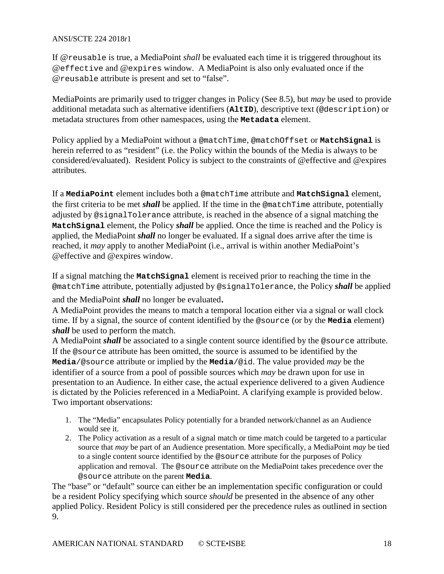If @reusable is true, a MediaPoint *shall* be evaluated each time it is triggered throughout its @effective and @expires window. A MediaPoint is also only evaluated once if the @reusable attribute is present and set to "false".

MediaPoints are primarily used to trigger changes in Policy (See [8.5\)](#page-24-0), but *may* be used to provide additional metadata such as alternative identifiers (**AltID**), descriptive text (@description) or metadata structures from other namespaces, using the **Metadata** element.

Policy applied by a MediaPoint without a @matchTime, @matchOffset or **MatchSignal** is herein referred to as "resident" (i.e. the Policy within the bounds of the Media is always to be considered/evaluated). Resident Policy is subject to the constraints of @effective and @expires attributes.

If a **MediaPoint** element includes both a @matchTime attribute and **MatchSignal** element, the first criteria to be met *shall* be applied. If the time in the @matchTime attribute, potentially adjusted by @signalTolerance attribute, is reached in the absence of a signal matching the **MatchSignal** element, the Policy *shall* be applied. Once the time is reached and the Policy is applied, the MediaPoint *shall* no longer be evaluated. If a signal does arrive after the time is reached, it *may* apply to another MediaPoint (i.e., arrival is within another MediaPoint's @effective and @expires window.

If a signal matching the **MatchSignal** element is received prior to reaching the time in the @matchTime attribute, potentially adjusted by @signalTolerance, the Policy *shall* be applied

and the MediaPoint *shall* no longer be evaluated.

A MediaPoint provides the means to match a temporal location either via a signal or wall clock time. If by a signal, the source of content identified by the @source (or by the **Media** element) *shall* be used to perform the match.

A MediaPoint *shall* be associated to a single content source identified by the @source attribute. If the @source attribute has been omitted, the source is assumed to be identified by the **Media**/@source attribute or implied by the **Media**/@id. The value provided *may* be the identifier of a source from a pool of possible sources which *may* be drawn upon for use in presentation to an Audience. In either case, the actual experience delivered to a given Audience is dictated by the Policies referenced in a MediaPoint. A clarifying example is provided below. Two important observations:

- 1. The "Media" encapsulates Policy potentially for a branded network/channel as an Audience would see it.
- 2. The Policy activation as a result of a signal match or time match could be targeted to a particular source that *may* be part of an Audience presentation. More specifically, a MediaPoint *may* be tied to a single content source identified by the @source attribute for the purposes of Policy application and removal. The @source attribute on the MediaPoint takes precedence over the @source attribute on the parent **Media**.

The "base" or "default" source can either be an implementation specific configuration or could be a resident Policy specifying which source *should* be presented in the absence of any other applied Policy. Resident Policy is still considered per the precedence rules as outlined in section 9.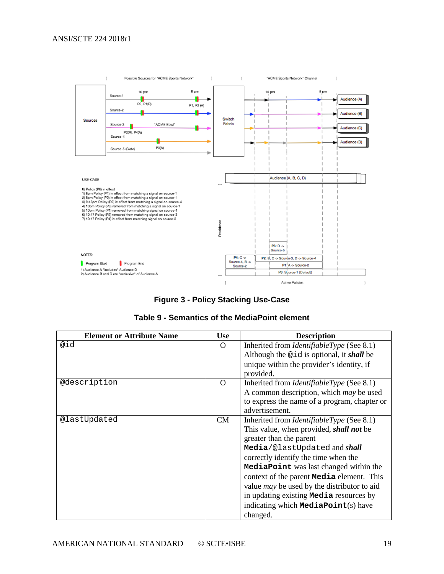

**Figure 3 - Policy Stacking Use-Case**

| Table 9 - Semantics of the MediaPoint element |  |  |  |
|-----------------------------------------------|--|--|--|
|-----------------------------------------------|--|--|--|

<span id="page-18-1"></span><span id="page-18-0"></span>

| <b>Element or Attribute Name</b> | <b>Use</b> | <b>Description</b>                                                                                                                                                                                                                                                                                                                                                                                                                                                     |
|----------------------------------|------------|------------------------------------------------------------------------------------------------------------------------------------------------------------------------------------------------------------------------------------------------------------------------------------------------------------------------------------------------------------------------------------------------------------------------------------------------------------------------|
| @id                              | $\Omega$   | Inherited from <i>IdentifiableType</i> (See 8.1)<br>Although the @id is optional, it shall be<br>unique within the provider's identity, if<br>provided.                                                                                                                                                                                                                                                                                                                |
| @description                     | $\Omega$   | Inherited from <i>IdentifiableType</i> (See 8.1)<br>A common description, which <i>may</i> be used<br>to express the name of a program, chapter or<br>advertisement.                                                                                                                                                                                                                                                                                                   |
| @lastUpdated                     | CM         | Inherited from <i>IdentifiableType</i> (See 8.1)<br>This value, when provided, <i>shall not</i> be<br>greater than the parent<br>Media/@lastUpdated and shall<br>correctly identify the time when the<br>MediaPoint was last changed within the<br>context of the parent <b>Media</b> element. This<br>value <i>may</i> be used by the distributor to aid<br>in updating existing <b>Media</b> resources by<br>indicating which <b>MediaPoint</b> (s) have<br>changed. |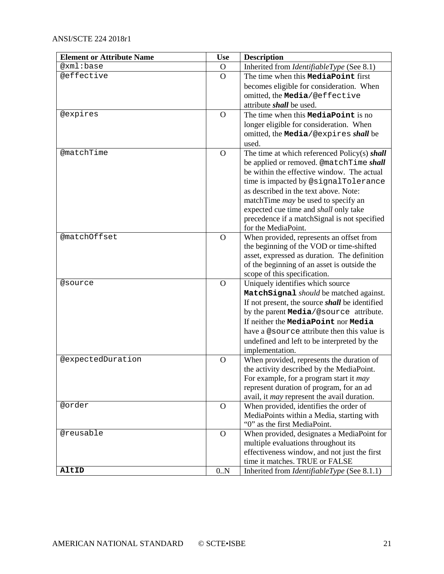| <b>Element or Attribute Name</b> | <b>Use</b>     | <b>Description</b>                                                             |
|----------------------------------|----------------|--------------------------------------------------------------------------------|
| @xml:base                        | $\overline{O}$ | Inherited from IdentifiableType (See 8.1)                                      |
| @effective                       | $\Omega$       | The time when this <b>MediaPoint</b> first                                     |
|                                  |                | becomes eligible for consideration. When                                       |
|                                  |                | omitted, the Media/@effective                                                  |
|                                  |                | attribute <i>shall</i> be used.                                                |
| @expires                         | $\overline{O}$ | The time when this <b>MediaPoint</b> is no                                     |
|                                  |                | longer eligible for consideration. When                                        |
|                                  |                | omitted, the Media/@expires shall be                                           |
|                                  |                | used.                                                                          |
| @matchTime                       | $\mathbf{O}$   | The time at which referenced Policy(s) shall                                   |
|                                  |                | be applied or removed. @matchTime shall                                        |
|                                  |                | be within the effective window. The actual                                     |
|                                  |                | time is impacted by @signalTolerance                                           |
|                                  |                | as described in the text above. Note:                                          |
|                                  |                | matchTime <i>may</i> be used to specify an                                     |
|                                  |                | expected cue time and shall only take                                          |
|                                  |                | precedence if a matchSignal is not specified                                   |
|                                  |                | for the MediaPoint.                                                            |
| @matchOffset                     | $\overline{O}$ | When provided, represents an offset from                                       |
|                                  |                | the beginning of the VOD or time-shifted                                       |
|                                  |                | asset, expressed as duration. The definition                                   |
|                                  |                | of the beginning of an asset is outside the                                    |
|                                  |                | scope of this specification.                                                   |
| @source                          | $\Omega$       | Uniquely identifies which source                                               |
|                                  |                | MatchSignal should be matched against.                                         |
|                                  |                | If not present, the source shall be identified                                 |
|                                  |                | by the parent Media/@source attribute.                                         |
|                                  |                | If neither the MediaPoint nor Media                                            |
|                                  |                | have a @source attribute then this value is                                    |
|                                  |                | undefined and left to be interpreted by the                                    |
|                                  |                | implementation.                                                                |
| @expectedDuration                | $\overline{O}$ | When provided, represents the duration of                                      |
|                                  |                | the activity described by the MediaPoint.                                      |
|                                  |                | For example, for a program start it may                                        |
|                                  |                | represent duration of program, for an ad                                       |
|                                  |                | avail, it <i>may</i> represent the avail duration.                             |
| @order                           | $\Omega$       | When provided, identifies the order of                                         |
|                                  |                | MediaPoints within a Media, starting with                                      |
| @reusable                        | $\mathbf{O}$   | "0" as the first MediaPoint.                                                   |
|                                  |                | When provided, designates a MediaPoint for                                     |
|                                  |                | multiple evaluations throughout its                                            |
|                                  |                | effectiveness window, and not just the first<br>time it matches. TRUE or FALSE |
| AltID                            | 0.N            |                                                                                |
|                                  |                | Inherited from <i>IdentifiableType</i> (See 8.1.1)                             |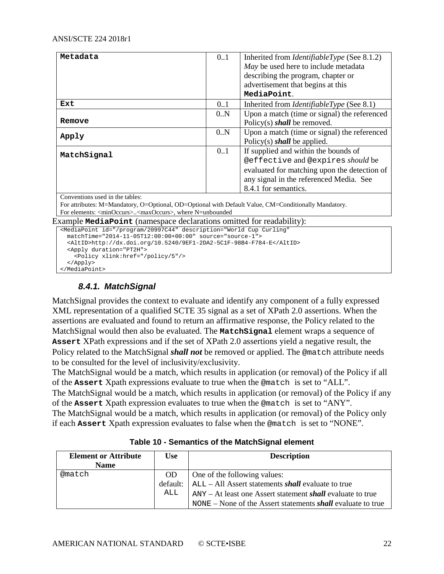| Metadata    | 0.1 | Inherited from <i>IdentifiableType</i> (See 8.1.2) |
|-------------|-----|----------------------------------------------------|
|             |     | May be used here to include metadata               |
|             |     | describing the program, chapter or                 |
|             |     | advertisement that begins at this                  |
|             |     | MediaPoint.                                        |
| Ext         | 0.1 | Inherited from <i>IdentifiableType</i> (See 8.1)   |
|             | 0.N | Upon a match (time or signal) the referenced       |
| Remove      |     | Policy(s) shall be removed.                        |
| Apply       | 0.N | Upon a match (time or signal) the referenced       |
|             |     | Policy(s) shall be applied.                        |
| MatchSignal | 0.1 | If supplied and within the bounds of               |
|             |     | @effective and @expires should be                  |
|             |     | evaluated for matching upon the detection of       |
|             |     | any signal in the referenced Media. See            |
|             |     | 8.4.1 for semantics.                               |

Conventions used in the tables:

For attributes: M=Mandatory, O=Optional, OD=Optional with Default Value, CM=Conditionally Mandatory. For elements: <minOccurs>..<maxOccurs>, where N=unbounded

Example **MediaPoint** (namespace declarations omitted for readability):

```
<MediaPoint id="/program/20997C44" description="World Cup Curling"
  matchTime="2014-11-05T12:00:00+00:00" source="source-1">
   <AltID>http://dx.doi.org/10.5240/9EF1-2DA2-5C1F-98B4-F784-E</AltID>
   <Apply duration="PT2H">
     <Policy xlink:href="/policy/5"/>
   </Apply>
</MediaPoint>
```
## *8.4.1. MatchSignal*

<span id="page-21-0"></span>MatchSignal provides the context to evaluate and identify any component of a fully expressed XML representation of a qualified SCTE 35 signal as a set of XPath 2.0 assertions. When the assertions are evaluated and found to return an affirmative response, the Policy related to the MatchSignal would then also be evaluated. The **MatchSignal** element wraps a sequence of **Assert** XPath expressions and if the set of XPath 2.0 assertions yield a negative result, the Policy related to the MatchSignal *shall not* be removed or applied. The @match attribute needs to be consulted for the level of inclusivity/exclusivity.

The MatchSignal would be a match, which results in application (or removal) of the Policy if all of the **Assert** Xpath expressions evaluate to true when the @match is set to "ALL".

The MatchSignal would be a match, which results in application (or removal) of the Policy if any of the **Assert** Xpath expression evaluates to true when the @match is set to "ANY".

<span id="page-21-1"></span>The MatchSignal would be a match, which results in application (or removal) of the Policy only if each **Assert** Xpath expression evaluates to false when the @match is set to "NONE".

| <b>Element or Attribute</b><br><b>Name</b> | <b>Use</b> | <b>Description</b>                                                     |
|--------------------------------------------|------------|------------------------------------------------------------------------|
| @match                                     | <b>OD</b>  | One of the following values:                                           |
|                                            |            | default: $ $ ALL – All Assert statements <i>shall</i> evaluate to true |
|                                            | ALL        | $ANY - At least one Asset statement shall evaluate to true$            |
|                                            |            | $NONE - None$ of the Assert statements <i>shall</i> evaluate to true   |

|  |  |  | Table 10 - Semantics of the MatchSignal element |  |
|--|--|--|-------------------------------------------------|--|
|--|--|--|-------------------------------------------------|--|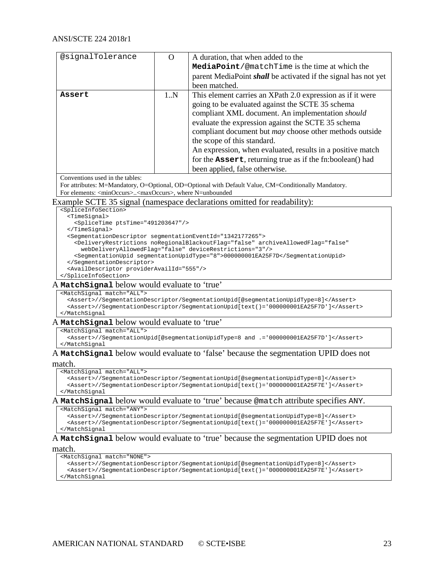| @signalTolerance                                                                                         | $\overline{O}$ | A duration, that when added to the                                                                                                        |  |  |  |
|----------------------------------------------------------------------------------------------------------|----------------|-------------------------------------------------------------------------------------------------------------------------------------------|--|--|--|
|                                                                                                          |                | MediaPoint/@matchTime is the time at which the                                                                                            |  |  |  |
|                                                                                                          |                |                                                                                                                                           |  |  |  |
|                                                                                                          |                | parent MediaPoint <i>shall</i> be activated if the signal has not yet                                                                     |  |  |  |
|                                                                                                          |                | been matched.                                                                                                                             |  |  |  |
| Assert                                                                                                   | 1.N            | This element carries an XPath 2.0 expression as if it were                                                                                |  |  |  |
|                                                                                                          |                | going to be evaluated against the SCTE 35 schema                                                                                          |  |  |  |
|                                                                                                          |                | compliant XML document. An implementation should                                                                                          |  |  |  |
|                                                                                                          |                | evaluate the expression against the SCTE 35 schema                                                                                        |  |  |  |
|                                                                                                          |                | compliant document but <i>may</i> choose other methods outside                                                                            |  |  |  |
|                                                                                                          |                | the scope of this standard.                                                                                                               |  |  |  |
|                                                                                                          |                |                                                                                                                                           |  |  |  |
|                                                                                                          |                | An expression, when evaluated, results in a positive match                                                                                |  |  |  |
|                                                                                                          |                | for the Assert, returning true as if the fn:boolean() had                                                                                 |  |  |  |
|                                                                                                          |                | been applied, false otherwise.                                                                                                            |  |  |  |
| Conventions used in the tables:                                                                          |                |                                                                                                                                           |  |  |  |
|                                                                                                          |                | For attributes: M=Mandatory, O=Optional, OD=Optional with Default Value, CM=Conditionally Mandatory.                                      |  |  |  |
| For elements: <minoccurs><maxoccurs>, where N=unbounded</maxoccurs></minoccurs>                          |                |                                                                                                                                           |  |  |  |
|                                                                                                          |                | Example SCTE 35 signal (namespace declarations omitted for readability):                                                                  |  |  |  |
| <spliceinfosection></spliceinfosection>                                                                  |                |                                                                                                                                           |  |  |  |
| <timesignal><br/><splicetime ptstime="491203647"></splicetime></timesignal>                              |                |                                                                                                                                           |  |  |  |
|                                                                                                          |                |                                                                                                                                           |  |  |  |
| <segmentationdescriptor segmentationeventid="1342177265"></segmentationdescriptor>                       |                |                                                                                                                                           |  |  |  |
|                                                                                                          |                | <deliveryrestrictions <="" archiveallowedflag="false" noregionalblackoutflag="false" td=""></deliveryrestrictions>                        |  |  |  |
|                                                                                                          |                | webDeliveryAllowedFlag="false" deviceRestrictions="3"/><br><segmentationupid segmentationupidtype="8">000000001EA25F7D</segmentationupid> |  |  |  |
|                                                                                                          |                |                                                                                                                                           |  |  |  |
| <availdescriptor provideravailid="555"></availdescriptor>                                                |                |                                                                                                                                           |  |  |  |
|                                                                                                          |                |                                                                                                                                           |  |  |  |
| A Matchsignal below would evaluate to 'true'                                                             |                |                                                                                                                                           |  |  |  |
| <matchsignal match="ALL"></matchsignal>                                                                  |                |                                                                                                                                           |  |  |  |
|                                                                                                          |                | <assert>//SegmentationDescriptor/SegmentationUpid[@segmentationUpidType=8]</assert>                                                       |  |  |  |
| <td></td> <td><assert>//SegmentationDescriptor/SegmentationUpid[text()='000000001EA25F7D']</assert></td> |                | <assert>//SegmentationDescriptor/SegmentationUpid[text()='000000001EA25F7D']</assert>                                                     |  |  |  |
| A Matchsignal below would evaluate to 'true'                                                             |                |                                                                                                                                           |  |  |  |
| <matchsignal match="ALL"></matchsignal>                                                                  |                |                                                                                                                                           |  |  |  |
| <assert>//SegmentationUpid[@segmentationUpidType=8 and .= '000000001EA25F7D']</assert>                   |                |                                                                                                                                           |  |  |  |
| <td></td> <td></td>                                                                                      |                |                                                                                                                                           |  |  |  |
| match.                                                                                                   |                | A Matchsignal below would evaluate to 'false' because the segmentation UPID does not                                                      |  |  |  |
| <matchsignal match="ALL"></matchsignal>                                                                  |                |                                                                                                                                           |  |  |  |
| <assert>//SegmentationDescriptor/SegmentationUpid[@segmentationUpidType=8]</assert>                      |                |                                                                                                                                           |  |  |  |
| <assert>//SegmentationDescriptor/SegmentationUpid[text()='000000001EA25F7E']</assert>                    |                |                                                                                                                                           |  |  |  |
| <td></td> <td></td>                                                                                      |                |                                                                                                                                           |  |  |  |
| A Matchsignal below would evaluate to 'true' because @match attribute specifies ANY.                     |                |                                                                                                                                           |  |  |  |

<MatchSignal match="ANY">

```
 <Assert>//SegmentationDescriptor/SegmentationUpid[@segmentationUpidType=8]</Assert>
   <Assert>//SegmentationDescriptor/SegmentationUpid[text()='000000001EA25F7E']</Assert>
</MatchSignal
```
# A **MatchSignal** below would evaluate to 'true' because the segmentation UPID does not

#### match.

```
<MatchSignal match="NONE">
   <Assert>//SegmentationDescriptor/SegmentationUpid[@segmentationUpidType=8]</Assert>
   <Assert>//SegmentationDescriptor/SegmentationUpid[text()='000000001EA25F7E']</Assert>
</MatchSignal
```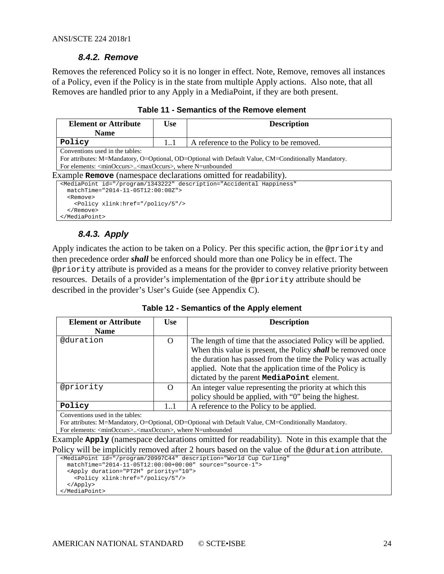#### *8.4.2. Remove*

<span id="page-23-0"></span>Removes the referenced Policy so it is no longer in effect. Note, Remove, removes all instances of a Policy, even if the Policy is in the state from multiple Apply actions. Also note, that all Removes are handled prior to any Apply in a MediaPoint, if they are both present.

<span id="page-23-2"></span>

| <b>Element or Attribute</b>                                                     | <b>Use</b><br><b>Description</b> |                                                                                                      |  |  |  |  |
|---------------------------------------------------------------------------------|----------------------------------|------------------------------------------------------------------------------------------------------|--|--|--|--|
| <b>Name</b>                                                                     |                                  |                                                                                                      |  |  |  |  |
| Policy                                                                          | 11                               | A reference to the Policy to be removed.                                                             |  |  |  |  |
| Conventions used in the tables:                                                 |                                  |                                                                                                      |  |  |  |  |
|                                                                                 |                                  | For attributes: M=Mandatory, O=Optional, OD=Optional with Default Value, CM=Conditionally Mandatory. |  |  |  |  |
| For elements: <minoccurs><maxoccurs>, where N=unbounded</maxoccurs></minoccurs> |                                  |                                                                                                      |  |  |  |  |
| Example Remove (namespace declarations omitted for readability).                |                                  |                                                                                                      |  |  |  |  |
|                                                                                 |                                  | <mediapoint <="" description="Accidental Happiness" id="/program/1343222" td=""></mediapoint>        |  |  |  |  |
| $matchTime="2014-11-05T12:00:00Z"$                                              |                                  |                                                                                                      |  |  |  |  |
| <remove><br/><policy xlink:href="/policy/5"></policy></remove>                  |                                  |                                                                                                      |  |  |  |  |
| $\langle$ Remove>                                                               |                                  |                                                                                                      |  |  |  |  |

**Table 11 - Semantics of the Remove element**

## *8.4.3. Apply*

<span id="page-23-1"></span></MediaPoint>

Apply indicates the action to be taken on a Policy. Per this specific action, the @priority and then precedence order *shall* be enforced should more than one Policy be in effect. The @priority attribute is provided as a means for the provider to convey relative priority between resources. Details of a provider's implementation of the @priority attribute should be described in the provider's User's Guide (see Appendix C).

**Table 12 - Semantics of the Apply element**

<span id="page-23-3"></span>

| <b>Element or Attribute</b> | Use | <b>Description</b>                                             |
|-----------------------------|-----|----------------------------------------------------------------|
| <b>Name</b>                 |     |                                                                |
| @duration                   | O   | The length of time that the associated Policy will be applied. |
|                             |     | When this value is present, the Policy shall be removed once   |
|                             |     | the duration has passed from the time the Policy was actually  |
|                             |     | applied. Note that the application time of the Policy is       |
|                             |     | dictated by the parent <b>MediaPoint</b> element.              |
| @priority                   | O   | An integer value representing the priority at which this       |
|                             |     | policy should be applied, with "0" being the highest.          |
| Policy                      | 11  | A reference to the Policy to be applied.                       |

Conventions used in the tables:

For attributes: M=Mandatory, O=Optional, OD=Optional with Default Value, CM=Conditionally Mandatory. For elements: <minOccurs>..<maxOccurs>, where N=unbounded

Example **Apply** (namespace declarations omitted for readability). Note in this example that the Policy will be implicitly removed after 2 hours based on the value of the @duration attribute.

```
<MediaPoint id="/program/20997C44" description="World Cup Curling"
  matchTime="2014-11-05T12:00:00+00:00" source="source-1">
 <Apply duration="PT2H" priority="10">
 <Policy xlink:href="/policy/5"/>
  </Apply>
</MediaPoint>
```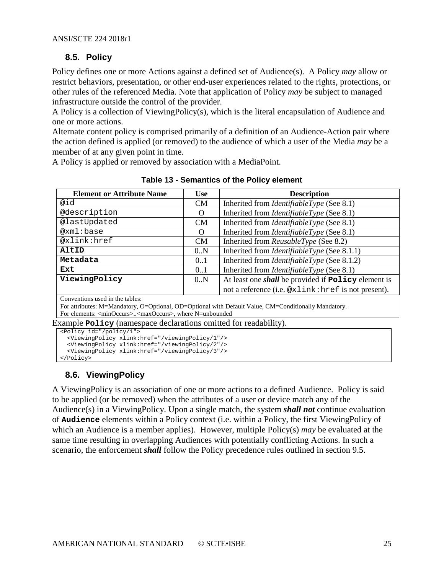## <span id="page-24-0"></span>**8.5. Policy**

Policy defines one or more Actions against a defined set of Audience(s). A Policy *may* allow or restrict behaviors, presentation, or other end-user experiences related to the rights, protections, or other rules of the referenced Media. Note that application of Policy *may* be subject to managed infrastructure outside the control of the provider.

A Policy is a collection of ViewingPolicy(s), which is the literal encapsulation of Audience and one or more actions.

Alternate content policy is comprised primarily of a definition of an Audience-Action pair where the action defined is applied (or removed) to the audience of which a user of the Media *may* be a member of at any given point in time.

<span id="page-24-2"></span>A Policy is applied or removed by association with a MediaPoint.

| <b>Element or Attribute Name</b> | <b>Use</b> | <b>Description</b>                                                |
|----------------------------------|------------|-------------------------------------------------------------------|
| @id                              | <b>CM</b>  | Inherited from <i>IdentifiableType</i> (See 8.1)                  |
| @description                     | O          | Inherited from <i>IdentifiableType</i> (See 8.1)                  |
| @lastUpdated                     | <b>CM</b>  | Inherited from <i>IdentifiableType</i> (See 8.1)                  |
| @xml:base                        | O          | Inherited from <i>IdentifiableType</i> (See 8.1)                  |
| @xlink:href                      | <b>CM</b>  | Inherited from ReusableType (See 8.2)                             |
| AltID                            | 0.N        | Inherited from <i>IdentifiableType</i> (See 8.1.1)                |
| Metadata                         | 01         | Inherited from <i>IdentifiableType</i> (See 8.1.2)                |
| Ext                              | 0.1        | Inherited from <i>IdentifiableType</i> (See 8.1)                  |
| ViewingPolicy                    | 0.N        | At least one <i>shall</i> be provided if <b>Policy</b> element is |
|                                  |            | not a reference (i.e. @xlink: href is not present).               |

**Table 13 - Semantics of the Policy element**

Conventions used in the tables:

For attributes: M=Mandatory, O=Optional, OD=Optional with Default Value, CM=Conditionally Mandatory. For elements: <minOccurs>..<maxOccurs>, where N=unbounded

Example **Policy** (namespace declarations omitted for readability).

```
<Policy id="/policy/1">
   <ViewingPolicy xlink:href="/viewingPolicy/1"/>
   <ViewingPolicy xlink:href="/viewingPolicy/2"/>
   <ViewingPolicy xlink:href="/viewingPolicy/3"/>
</Policy>
```
## <span id="page-24-1"></span>**8.6. ViewingPolicy**

A ViewingPolicy is an association of one or more actions to a defined Audience. Policy is said to be applied (or be removed) when the attributes of a user or device match any of the Audience(s) in a ViewingPolicy. Upon a single match, the system *shall not* continue evaluation of **Audience** elements within a Policy context (i.e. within a Policy, the first ViewingPolicy of which an Audience is a member applies). However, multiple Policy(s) *may* be evaluated at the same time resulting in overlapping Audiences with potentially conflicting Actions. In such a scenario, the enforcement *shall* follow the Policy precedence rules outlined in section [9.5.](#page-33-0)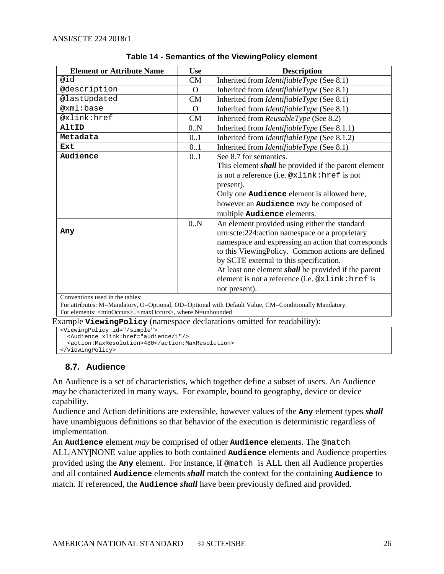<span id="page-25-1"></span>

| <b>Element or Attribute Name</b> | <b>Use</b>     | <b>Description</b>                                                                                   |
|----------------------------------|----------------|------------------------------------------------------------------------------------------------------|
| @id                              | CM             | Inherited from <i>IdentifiableType</i> (See 8.1)                                                     |
| @description                     | $\Omega$       | Inherited from <i>IdentifiableType</i> (See 8.1)                                                     |
| @lastUpdated                     | <b>CM</b>      | Inherited from <i>IdentifiableType</i> (See 8.1)                                                     |
| @xml:base                        | $\overline{O}$ | Inherited from <i>IdentifiableType</i> (See 8.1)                                                     |
| @xlink:href                      | CM             | Inherited from ReusableType (See 8.2)                                                                |
| AltID                            | 0.N            | Inherited from <i>IdentifiableType</i> (See 8.1.1)                                                   |
| Metadata                         | 0.1            | Inherited from <i>IdentifiableType</i> (See 8.1.2)                                                   |
| Ext                              | 0.1            | Inherited from <i>IdentifiableType</i> (See 8.1)                                                     |
| Audience                         | 0.1            | See 8.7 for semantics.                                                                               |
|                                  |                | This element <i>shall</i> be provided if the parent element                                          |
|                                  |                | is not a reference (i.e. @xlink: href is not                                                         |
|                                  |                | present).                                                                                            |
|                                  |                | Only one Audience element is allowed here,                                                           |
|                                  |                | however an <b>Audience</b> may be composed of                                                        |
|                                  |                | multiple Audience elements.                                                                          |
|                                  | 0.N            | An element provided using either the standard                                                        |
| Any                              |                | urn:scte:224:action namespace or a proprietary                                                       |
|                                  |                | namespace and expressing an action that corresponds                                                  |
|                                  |                | to this ViewingPolicy. Common actions are defined                                                    |
|                                  |                | by SCTE external to this specification.                                                              |
|                                  |                | At least one element <i>shall</i> be provided if the parent                                          |
|                                  |                | element is not a reference (i.e. @xlink:href is                                                      |
|                                  |                | not present).                                                                                        |
| Conventions used in the tables:  |                |                                                                                                      |
| $1 \t1$ $1 \t1$                  |                | For attributes: M=Mandatory, O=Optional, OD=Optional with Default Value, CM=Conditionally Mandatory. |

| Table 14 - Semantics of the Viewing Policy element |  |  |  |
|----------------------------------------------------|--|--|--|
|----------------------------------------------------|--|--|--|

For elements: <minOccurs>..<maxOccurs>, where N=unbounded

Example **ViewingPolicy** (namespace declarations omitted for readability):

```
<ViewingPolicy id="/simple">
   <Audience xlink:href="audience/1"/>
   <action:MaxResolution>480</action:MaxResolution>
```

```
</ViewingPolicy>
```
## **8.7. Audience**

An Audience is a set of characteristics, which together define a subset of users. An Audience *may* be characterized in many ways. For example, bound to geography, device or device capability.

Audience and Action definitions are extensible, however values of the **Any** element types *shall* have unambiguous definitions so that behavior of the execution is deterministic regardless of implementation.

An **Audience** element *may* be comprised of other **Audience** elements. The @match ALL|ANY|NONE value applies to both contained **Audience** elements and Audience properties provided using the **Any** element. For instance, if @match is ALL then all Audience properties and all contained **Audience** elements *shall* match the context for the containing **Audience** to match. If referenced, the **Audience** *shall* have been previously defined and provided.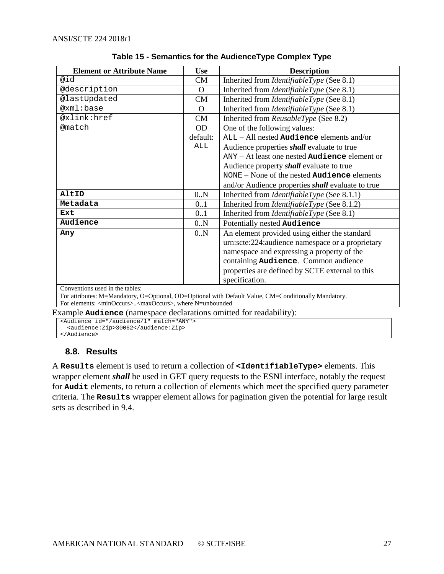<span id="page-26-1"></span>

| <b>Element or Attribute Name</b> | <b>Use</b> | <b>Description</b>                                       |
|----------------------------------|------------|----------------------------------------------------------|
| @id                              | CM         | Inherited from <i>IdentifiableType</i> (See 8.1)         |
| @description                     | $\Omega$   | Inherited from <i>IdentifiableType</i> (See 8.1)         |
| @lastUpdated                     | CM         | Inherited from <i>IdentifiableType</i> (See 8.1)         |
| @xml:base                        | $\Omega$   | Inherited from <i>IdentifiableType</i> (See 8.1)         |
| @xlink:href                      | CM         | Inherited from ReusableType (See 8.2)                    |
| @match                           | OD.        | One of the following values:                             |
|                                  | default:   | $ALL - All nested Audio elements and/or$                 |
|                                  | ALL        | Audience properties <i>shall</i> evaluate to true        |
|                                  |            | $ANY - At least one nested Audio de element or$          |
|                                  |            | Audience property <i>shall</i> evaluate to true          |
|                                  |            | NONE – None of the nested <b>Audience</b> elements       |
|                                  |            | and/or Audience properties <i>shall</i> evaluate to true |
| AltID                            | 0.N        | Inherited from <i>IdentifiableType</i> (See 8.1.1)       |
| Metadata                         | 0.1        | Inherited from <i>IdentifiableType</i> (See 8.1.2)       |
| Ext                              | 0.1        | Inherited from <i>IdentifiableType</i> (See 8.1)         |
| Audience                         | 0.N        | Potentially nested Audience                              |
| Any                              | 0.N        | An element provided using either the standard            |
|                                  |            | urn:scte:224:audience namespace or a proprietary         |
|                                  |            | namespace and expressing a property of the               |
|                                  |            | containing Audience. Common audience                     |
|                                  |            | properties are defined by SCTE external to this          |
|                                  |            | specification.                                           |
| Conventions used in the tables:  |            |                                                          |

| Table 15 - Semantics for the AudienceType Complex Type |  |  |  |
|--------------------------------------------------------|--|--|--|
|--------------------------------------------------------|--|--|--|

For attributes: M=Mandatory, O=Optional, OD=Optional with Default Value, CM=Conditionally Mandatory. For elements: <minOccurs>..<maxOccurs>, where N=unbounded

Example **Audience** (namespace declarations omitted for readability):

<Audience id="/audience/1" match="ANY"> <audience:Zip>30062</audience:Zip>

<span id="page-26-0"></span></Audience>

## **8.8. Results**

A **Results** element is used to return a collection of **<IdentifiableType>** elements. This wrapper element *shall* be used in GET query requests to the ESNI interface, notably the request for **Audit** elements, to return a collection of elements which meet the specified query parameter criteria. The **Results** wrapper element allows for pagination given the potential for large result sets as described in [9.4.](#page-32-2)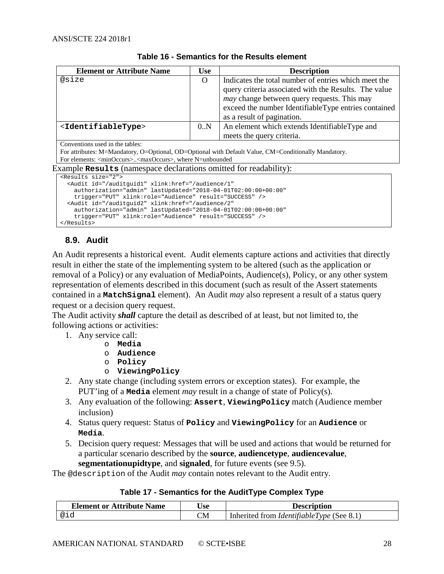<span id="page-27-1"></span>

| <b>Element or Attribute Name</b>                                                                                              | <b>Use</b>                                                                                           | <b>Description</b>                                    |  |
|-------------------------------------------------------------------------------------------------------------------------------|------------------------------------------------------------------------------------------------------|-------------------------------------------------------|--|
| @size                                                                                                                         | O                                                                                                    | Indicates the total number of entries which meet the  |  |
|                                                                                                                               |                                                                                                      | query criteria associated with the Results. The value |  |
|                                                                                                                               |                                                                                                      | <i>may</i> change between query requests. This may    |  |
|                                                                                                                               |                                                                                                      | exceed the number IdentifiableType entries contained  |  |
|                                                                                                                               |                                                                                                      | as a result of pagination.                            |  |
| <identifiabletype></identifiabletype>                                                                                         | 0.N                                                                                                  | An element which extends IdentifiableType and         |  |
|                                                                                                                               |                                                                                                      | meets the query criteria.                             |  |
| Conventions used in the tables:                                                                                               |                                                                                                      |                                                       |  |
|                                                                                                                               | For attributes: M=Mandatory, O=Optional, OD=Optional with Default Value, CM=Conditionally Mandatory. |                                                       |  |
| For elements: <minoccurs><maxoccurs>, where N=unbounded</maxoccurs></minoccurs>                                               |                                                                                                      |                                                       |  |
| Example <b>Results</b> (namespace declarations omitted for readability):                                                      |                                                                                                      |                                                       |  |
| <results size="2"></results>                                                                                                  |                                                                                                      |                                                       |  |
| <audit <="" id="/auditguid1" td="" xlink:href="/audience/1"><td></td><td></td></audit>                                        |                                                                                                      |                                                       |  |
| authorization="admin" lastUpdated="2018-04-01T02:00:00+00:00"                                                                 |                                                                                                      |                                                       |  |
| trigger="PUT" xlink:role="Audience" result="SUCCESS" />                                                                       |                                                                                                      |                                                       |  |
| <audit <br="" id="/auditguid2" xlink:href="/audience/2">authorization="admin" lastUpdated="2018-04-01T02:00:00+00:00"</audit> |                                                                                                      |                                                       |  |
| trigger="PUT" xlink:role="Audience" result="SUCCESS" />                                                                       |                                                                                                      |                                                       |  |
|                                                                                                                               |                                                                                                      |                                                       |  |

#### **Table 16 - Semantics for the Results element**

## <span id="page-27-0"></span>**8.9. Audit**

An Audit represents a historical event. Audit elements capture actions and activities that directly result in either the state of the implementing system to be altered (such as the application or removal of a Policy) or any evaluation of MediaPoints, Audience(s), Policy, or any other system representation of elements described in this document (such as result of the Assert statements contained in a **MatchSignal** element). An Audit *may* also represent a result of a status query request or a decision query request.

The Audit activity *shall* capture the detail as described of at least, but not limited to, the following actions or activities:

- 1. Any service call:
	- o **Media**
		- o **Audience**
		- o **Policy**
		- o **ViewingPolicy**
- 2. Any state change (including system errors or exception states). For example, the PUT'ing of a **Media** element *may* result in a change of state of Policy(s).
- 3. Any evaluation of the following: **Assert**, **ViewingPolicy** match (Audience member inclusion)
- 4. Status query request: Status of **Policy** and **ViewingPolicy** for an **Audience** or **Media**.
- 5. Decision query request: Messages that will be used and actions that would be returned for a particular scenario described by the **source**, **audiencetype**, **audiencevalue**, **segmentationupidtype**, and **signaled**, for future events (see [9.5\)](#page-33-0).

<span id="page-27-2"></span>The @description of the Audit *may* contain notes relevant to the Audit entry.

#### **Table 17 - Semantics for the AuditType Complex Type**

| <b>Element or Attribute Name</b> | <b>Use</b> | <b>Description</b>                               |
|----------------------------------|------------|--------------------------------------------------|
| @id                              | CM         | Inherited from <i>IdentifiableType</i> (See 8.1) |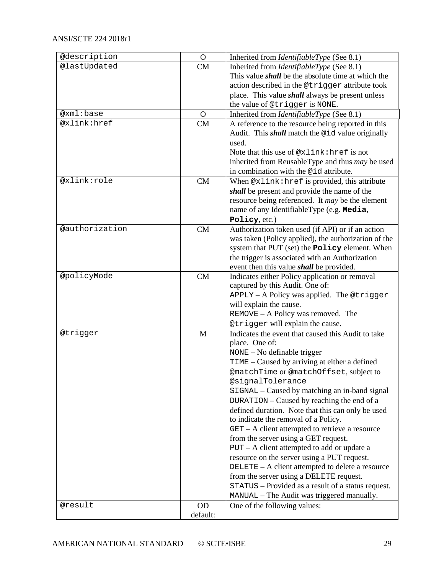| @description   | $\Omega$  | Inherited from <i>IdentifiableType</i> (See 8.1)          |
|----------------|-----------|-----------------------------------------------------------|
| @lastUpdated   | <b>CM</b> | Inherited from <i>IdentifiableType</i> (See 8.1)          |
|                |           | This value <i>shall</i> be the absolute time at which the |
|                |           | action described in the @trigger attribute took           |
|                |           | place. This value <i>shall</i> always be present unless   |
|                |           | the value of @trigger is NONE.                            |
| @xml:base      | $\Omega$  | Inherited from IdentifiableType (See 8.1)                 |
| @xlink:href    | CM        | A reference to the resource being reported in this        |
|                |           | Audit. This <i>shall</i> match the @id value originally   |
|                |           | used.                                                     |
|                |           | Note that this use of @xlink: href is not                 |
|                |           | inherited from ReusableType and thus <i>may</i> be used   |
|                |           | in combination with the @id attribute.                    |
| @xlink:role    | CM        | When @xlink: href is provided, this attribute             |
|                |           | shall be present and provide the name of the              |
|                |           | resource being referenced. It may be the element          |
|                |           | name of any IdentifiableType (e.g. Media,                 |
|                |           | Policy, etc.)                                             |
| @authorization | CM        | Authorization token used (if API) or if an action         |
|                |           | was taken (Policy applied), the authorization of the      |
|                |           | system that PUT (set) the <b>Policy</b> element. When     |
|                |           | the trigger is associated with an Authorization           |
|                |           | event then this value <i>shall</i> be provided.           |
| @policyMode    | CM        | Indicates either Policy application or removal            |
|                |           | captured by this Audit. One of:                           |
|                |           | APPLY - A Policy was applied. The @trigger                |
|                |           | will explain the cause.                                   |
|                |           | REMOVE - A Policy was removed. The                        |
|                |           | @trigger will explain the cause.                          |
| @trigger       | M         | Indicates the event that caused this Audit to take        |
|                |           | place. One of:                                            |
|                |           | NONE - No definable trigger                               |
|                |           | TIME - Caused by arriving at either a defined             |
|                |           | @matchTime or @matchOffset, subject to                    |
|                |           | @signalTolerance                                          |
|                |           | SIGNAL - Caused by matching an in-band signal             |
|                |           | DURATION – Caused by reaching the end of a                |
|                |           | defined duration. Note that this can only be used         |
|                |           | to indicate the removal of a Policy.                      |
|                |           | $GET - A client attempted to retrieve a resource$         |
|                |           | from the server using a GET request.                      |
|                |           | $PUT - A client attempted to add or update a$             |
|                |           | resource on the server using a PUT request.               |
|                |           | DELETE - A client attempted to delete a resource          |
|                |           | from the server using a DELETE request.                   |
|                |           | STATUS - Provided as a result of a status request.        |
|                |           | MANUAL - The Audit was triggered manually.                |
| @result        | <b>OD</b> | One of the following values:                              |
|                | default:  |                                                           |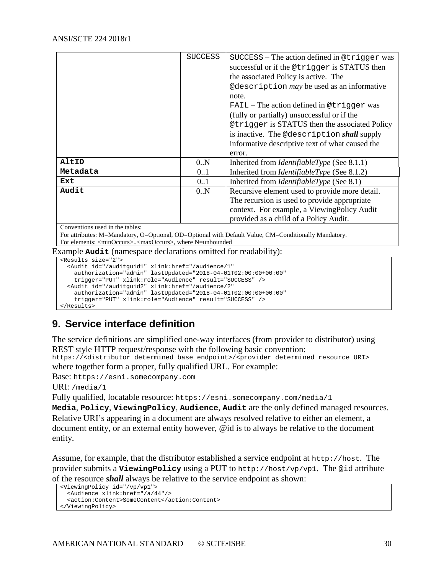|          | <b>SUCCESS</b> | SUCCESS - The action defined in @trigger was       |
|----------|----------------|----------------------------------------------------|
|          |                | successful or if the @trigger is STATUS then       |
|          |                | the associated Policy is active. The               |
|          |                | @description may be used as an informative         |
|          |                | note.                                              |
|          |                | $FAIL$ – The action defined in @ triquar was       |
|          |                | (fully or partially) unsuccessful or if the        |
|          |                | @trigger is STATUS then the associated Policy      |
|          |                | is inactive. The @description shall supply         |
|          |                | informative descriptive text of what caused the    |
|          |                | error.                                             |
| AltID    | 0.N            | Inherited from <i>IdentifiableType</i> (See 8.1.1) |
| Metadata | 0.1            | Inherited from <i>IdentifiableType</i> (See 8.1.2) |
| Ext      | 0.1            | Inherited from <i>IdentifiableType</i> (See 8.1)   |
| Audit    | 0.N            | Recursive element used to provide more detail.     |
|          |                | The recursion is used to provide appropriate       |
|          |                | context. For example, a ViewingPolicy Audit        |
|          |                | provided as a child of a Policy Audit.             |

Conventions used in the tables:

For attributes: M=Mandatory, O=Optional, OD=Optional with Default Value, CM=Conditionally Mandatory. For elements: <minOccurs>..<maxOccurs>, where N=unbounded

Example **Audit** (namespace declarations omitted for readability):

```
<Results size="2">
  <Audit id="/auditguid1" xlink:href="/audience/1" 
    authorization="admin" lastUpdated="2018-04-01T02:00:00+00:00" 
    trigger="PUT" xlink:role="Audience" result="SUCCESS" />
  <Audit id="/auditguid2" xlink:href="/audience/2" 
    authorization="admin" lastUpdated="2018-04-01T02:00:00+00:00" 
    trigger="PUT" xlink:role="Audience" result="SUCCESS" />
</Results>
```
## <span id="page-29-0"></span>**9. Service interface definition**

The service definitions are simplified one-way interfaces (from provider to distributor) using REST style HTTP request/response with the following basic convention:

https://<distributor determined base endpoint>/<provider determined resource URI> where together form a proper, fully qualified URL. For example:

Base: https://esni.somecompany.com

URI: /media/1

Fully qualified, locatable resource: https://esni.somecompany.com/media/1

**Media**, **Policy**, **ViewingPolicy**, **Audience**, **Audit** are the only defined managed resources. Relative URI's appearing in a document are always resolved relative to either an element, a document entity, or an external entity however, @id is to always be relative to the document entity.

Assume, for example, that the distributor established a service endpoint at [http://host](http://host/). The provider submits a **ViewingPolicy** using a PUT to <http://host/vp/vp1>. The @id attribute of the resource *shall* always be relative to the service endpoint as shown:

```
<ViewingPolicy id="/vp/vp1">
   <Audience xlink:href="/a/44"/>
   <action:Content>SomeContent</action:Content>
</ViewingPolicy>
```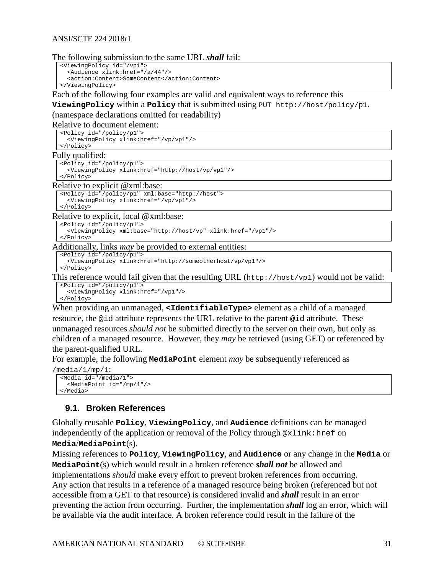#### The following submission to the same URL *shall* fail:

```
<ViewingPolicy id="/vp1">
   <Audience xlink:href="/a/44"/>
   <action:Content>SomeContent</action:Content>
</ViewingPolicy>
```
Each of the following four examples are valid and equivalent ways to reference this

**ViewingPolicy** within a **Policy** that is submitted using PUT http://host/policy/p1.

#### (namespace declarations omitted for readability)

Relative to document element:

```
<Policy id="/policy/p1">
     <ViewingPolicy xlink:href="/vp/vp1"/>
  </Policy>
Fully qualified:
```

```
<Policy id="/policy/p1">
```

```
 <ViewingPolicy xlink:href="http://host/vp/vp1"/>
</Policy>
```
Relative to explicit @xml:base:

```
<Policy id="/policy/p1" xml:base="http://host">
  <ViewingPolicy xlink:href="/vp/vp1"/>
```
</Policy>

Relative to explicit, local @xml:base:

<Policy id="/policy/p1">

```
 <ViewingPolicy xml:base="http://host/vp" xlink:href="/vp1"/>
</Policy>
```
Additionally, links *may* be provided to external entities:

```
<Policy id="/policy/p1">
```

```
 <ViewingPolicy xlink:href="http://someotherhost/vp/vp1"/>
</Policy>
```
This reference would fail given that the resulting URL  $(h_{\text{tt}}/h_{\text{out}})/h_{\text{out}}$  would not be valid:

<Policy id="/policy/p1"> <ViewingPolicy xlink:href="/vp1"/> </Policy>

When providing an unmanaged, <IdentifiableType> element as a child of a managed resource, the @id attribute represents the URL relative to the parent @id attribute. These unmanaged resources *should not* be submitted directly to the server on their own, but only as children of a managed resource. However, they *may* be retrieved (using GET) or referenced by the parent-qualified URL.

For example, the following **MediaPoint** element *may* be subsequently referenced as

```
/media/1/mp/1:
 <Media id="/media/1">
     <MediaPoint id="/mp/1"/>
  </Media>
```
#### <span id="page-30-0"></span>**9.1. Broken References**

Globally reusable **Policy**, **ViewingPolicy**, and **Audience** definitions can be managed independently of the application or removal of the Policy through @xlink:href on **Media**/**MediaPoint**(s).

Missing references to **Policy**, **ViewingPolicy**, and **Audience** or any change in the **Media** or **MediaPoint**(s) which would result in a broken reference *shall not* be allowed and implementations *should* make every effort to prevent broken references from occurring. Any action that results in a reference of a managed resource being broken (referenced but not accessible from a GET to that resource) is considered invalid and *shall* result in an error preventing the action from occurring. Further, the implementation *shall* log an error, which will be available via the audit interface. A broken reference could result in the failure of the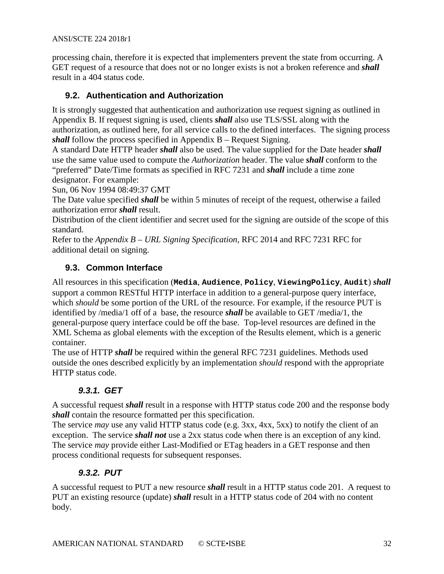processing chain, therefore it is expected that implementers prevent the state from occurring. A GET request of a resource that does not or no longer exists is not a broken reference and *shall* result in a 404 status code.

## <span id="page-31-0"></span>**9.2. Authentication and Authorization**

It is strongly suggested that authentication and authorization use request signing as outlined in Appendix B. If request signing is used, clients *shall* also use TLS/SSL along with the authorization, as outlined here, for all service calls to the defined interfaces. The signing process *shall* follow the process specified in Appendix B – Request Signing.

A standard Date HTTP header *shall* also be used. The value supplied for the Date header *shall* use the same value used to compute the *Authorization* header. The value *shall* conform to the "preferred" Date/Time formats as specified in RFC 7231 and *shall* include a time zone designator. For example:

Sun, 06 Nov 1994 08:49:37 GMT

The Date value specified *shall* be within 5 minutes of receipt of the request, otherwise a failed authorization error *shall* result.

Distribution of the client identifier and secret used for the signing are outside of the scope of this standard.

Refer to the *Appendix B – URL Signing Specification,* RFC 2014 and RFC 7231 RFC for additional detail on signing.

## <span id="page-31-1"></span>**9.3. Common Interface**

All resources in this specification (**Media**, **Audience**, **Policy**, **ViewingPolicy**, **Audit**) *shall* support a common RESTful HTTP interface in addition to a general-purpose query interface, which *should* be some portion of the URL of the resource. For example, if the resource PUT is identified by /media/1 off of a base, the resource *shall* be available to GET /media/1, the general-purpose query interface could be off the base. Top-level resources are defined in the XML Schema as global elements with the exception of the Results element, which is a generic container.

The use of HTTP *shall* be required within the general RFC 7231 guidelines. Methods used outside the ones described explicitly by an implementation *should* respond with the appropriate HTTP status code.

## *9.3.1. GET*

<span id="page-31-2"></span>A successful request *shall* result in a response with HTTP status code 200 and the response body *shall* contain the resource formatted per this specification.

The service *may* use any valid HTTP status code (e.g. 3xx, 4xx, 5xx) to notify the client of an exception. The service *shall not* use a 2xx status code when there is an exception of any kind. The service *may* provide either Last-Modified or ETag headers in a GET response and then process conditional requests for subsequent responses.

## *9.3.2. PUT*

<span id="page-31-3"></span>A successful request to PUT a new resource *shall* result in a HTTP status code 201. A request to PUT an existing resource (update) *shall* result in a HTTP status code of 204 with no content body.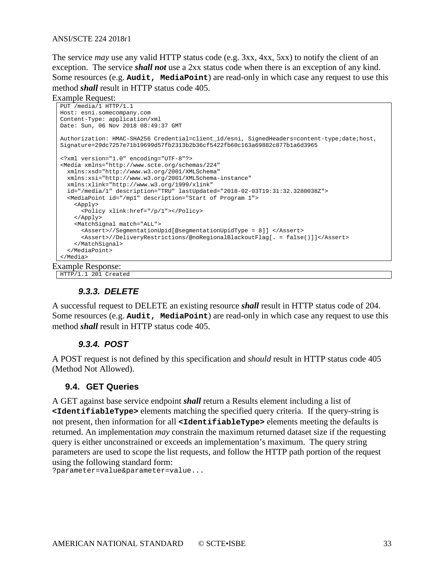The service *may* use any valid HTTP status code (e.g. 3xx, 4xx, 5xx) to notify the client of an exception. The service *shall not* use a 2xx status code when there is an exception of any kind. Some resources (e.g. **Audit, MediaPoint**) are read-only in which case any request to use this method *shall* result in HTTP status code 405.

Example Request:

```
PUT /media/1 HTTP/1.1
Host: esni.somecompany.com
Content-Type: application/xml
Date: Sun, 06 Nov 2018 08:49:37 GMT
Authorization: HMAC-SHA256 Credential=client_id/esni, SignedHeaders=content-type;date;host, 
Signature=29dc7257e71b19699d57fb2313b2b36cf5422fb60c163a69882c877b1a6d3965
<?xml version="1.0" encoding="UTF-8"?>
<Media xmlns="http://www.scte.org/schemas/224"
  xmlns:xsd="http://www.w3.org/2001/XMLSchema"
  xmlns:xsi="http://www.w3.org/2001/XMLSchema-instance"
   xmlns:xlink="http://www.w3.org/1999/xlink" 
   id="/media/1" description="TRU" lastUpdated="2018-02-03T19:31:32.3280038Z">
   <MediaPoint id="/mp1" description="Start of Program 1">
     <Apply>
       <Policy xlink:href="/p/1"></Policy>
     </Apply>
     <MatchSignal match="ALL">
       <Assert>//SegmentationUpid[@segmentationUpidType = 8]] </Assert>
       <Assert>//DeliveryRestrictions/@noRegionalBlackoutFlag[. = false()]]</Assert>
     </MatchSignal>
   </MediaPoint>
</Media>
```
Example Response:

<span id="page-32-0"></span>HTTP/1.1 201 Created

#### *9.3.3. DELETE*

A successful request to DELETE an existing resource *shall* result in HTTP status code of 204. Some resources (e.g. **Audit, MediaPoint**) are read-only in which case any request to use this method *shall* result in HTTP status code 405.

#### *9.3.4. POST*

<span id="page-32-1"></span>A POST request is not defined by this specification and *should* result in HTTP status code 405 (Method Not Allowed).

#### <span id="page-32-2"></span>**9.4. GET Queries**

A GET against base service endpoint *shall* return a Results element including a list of **<IdentifiableType>** elements matching the specified query criteria. If the query-string is not present, then information for all **<IdentifiableType>** elements meeting the defaults is returned. An implementation *may* constrain the maximum returned dataset size if the requesting query is either unconstrained or exceeds an implementation's maximum. The query string parameters are used to scope the list requests, and follow the HTTP path portion of the request using the following standard form:

?parameter=value&parameter=value...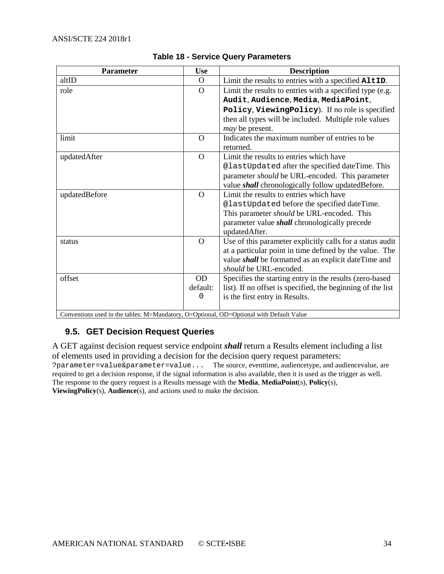<span id="page-33-1"></span>

| <b>Parameter</b>                                                                                   | <b>Use</b>     | <b>Description</b>                                          |
|----------------------------------------------------------------------------------------------------|----------------|-------------------------------------------------------------|
| altID                                                                                              | $\Omega$       | Limit the results to entries with a specified AltID.        |
| role                                                                                               | $\overline{O}$ | Limit the results to entries with a specified type (e.g.    |
|                                                                                                    |                | Audit, Audience, Media, MediaPoint,                         |
|                                                                                                    |                | Policy, ViewingPolicy). If no role is specified             |
|                                                                                                    |                | then all types will be included. Multiple role values       |
|                                                                                                    |                | <i>may</i> be present.                                      |
| limit                                                                                              | $\Omega$       | Indicates the maximum number of entries to be               |
|                                                                                                    |                | returned.                                                   |
| updatedAfter                                                                                       | $\Omega$       | Limit the results to entries which have                     |
|                                                                                                    |                | @lastUpdated after the specified dateTime. This             |
|                                                                                                    |                | parameter should be URL-encoded. This parameter             |
|                                                                                                    |                | value <i>shall</i> chronologically follow updated Before.   |
| updatedBefore                                                                                      | $\Omega$       | Limit the results to entries which have                     |
|                                                                                                    |                | @lastUpdated before the specified dateTime.                 |
|                                                                                                    |                | This parameter <i>should</i> be URL-encoded. This           |
|                                                                                                    |                | parameter value <i>shall</i> chronologically precede        |
|                                                                                                    |                | updatedAfter.                                               |
| status                                                                                             | $\Omega$       | Use of this parameter explicitly calls for a status audit   |
|                                                                                                    |                | at a particular point in time defined by the value. The     |
|                                                                                                    |                | value <i>shall</i> be formatted as an explicit dateTime and |
|                                                                                                    |                | should be URL-encoded.                                      |
| offset                                                                                             | <b>OD</b>      | Specifies the starting entry in the results (zero-based     |
|                                                                                                    | default:       | list). If no offset is specified, the beginning of the list |
|                                                                                                    | 0              | is the first entry in Results.                              |
| Conventions used in the tables: $M-Mandator$ , $O-Optional$ , $OD-Optional$ with $Dafault$ $Value$ |                |                                                             |

#### **Table 18 - Service Query Parameters**

<span id="page-33-0"></span>Conventions used in the tables: M=Mandatory, O=Optional, OD=Optional with Default Value

#### **9.5. GET Decision Request Queries**

A GET against decision request service endpoint *shall* return a Results element including a list of elements used in providing a decision for the decision query request parameters: ?parameter=value&parameter=value... The source, eventtime, audiencetype, and audiencevalue, are required to get a decision response, if the signal information is also available, then it is used as the trigger as well. The response to the query request is a Results message with the **Media**, **MediaPoint**(s), **Policy**(s), **ViewingPolicy**(s), **Audience**(s), and actions used to make the decision.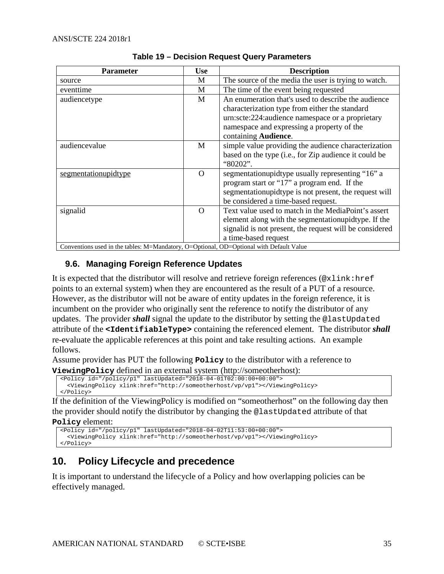<span id="page-34-2"></span>

| <b>Parameter</b>     | <b>Use</b>                                                                              | <b>Description</b>                                      |  |
|----------------------|-----------------------------------------------------------------------------------------|---------------------------------------------------------|--|
| source               | М                                                                                       | The source of the media the user is trying to watch.    |  |
| eventtime            | М                                                                                       | The time of the event being requested                   |  |
| audiencetype         | M                                                                                       | An enumeration that's used to describe the audience     |  |
|                      |                                                                                         | characterization type from either the standard          |  |
|                      |                                                                                         | urn:scte:224:audience namespace or a proprietary        |  |
|                      |                                                                                         | namespace and expressing a property of the              |  |
|                      |                                                                                         | containing <b>Audience</b> .                            |  |
| audiencevalue        | M                                                                                       | simple value providing the audience characterization    |  |
|                      |                                                                                         | based on the type (i.e., for Zip audience it could be   |  |
|                      |                                                                                         | "80202".                                                |  |
| segmentationupidtype | $\Omega$                                                                                | segmentationupidtype usually representing "16" a        |  |
|                      |                                                                                         | program start or "17" a program end. If the             |  |
|                      |                                                                                         | segmentationupidtype is not present, the request will   |  |
|                      |                                                                                         | be considered a time-based request.                     |  |
| signalid             | $\Omega$                                                                                | Text value used to match in the MediaPoint's assert     |  |
|                      |                                                                                         | element along with the segmentation upidtype. If the    |  |
|                      |                                                                                         | signalid is not present, the request will be considered |  |
|                      |                                                                                         | a time-based request                                    |  |
|                      | Conventions used in the tables: M=Mandatory, O=Optional, OD=Optional with Default Value |                                                         |  |

#### **Table 19 – Decision Request Query Parameters**

#### <span id="page-34-0"></span>**9.6. Managing Foreign Reference Updates**

It is expected that the distributor will resolve and retrieve foreign references (@xlink:href points to an external system) when they are encountered as the result of a PUT of a resource. However, as the distributor will not be aware of entity updates in the foreign reference, it is incumbent on the provider who originally sent the reference to notify the distributor of any updates. The provider *shall* signal the update to the distributor by setting the @lastUpdated attribute of the **<IdentifiableType>** containing the referenced element. The distributor *shall* re-evaluate the applicable references at this point and take resulting actions. An example follows.

Assume provider has PUT the following **Policy** to the distributor with a reference to **ViewingPolicy** defined in an external system [\(http://someotherhost\)](http://someotherhost/):

```
<Policy id="/policy/p1" lastUpdated="2018-04-01T02:00:00+00:00">
  <ViewingPolicy xlink:href="http://someotherhost/vp/vp1"></ViewingPolicy>
```
</Policy>

If the definition of the ViewingPolicy is modified on "someotherhost" on the following day then the provider should notify the distributor by changing the @lastUpdated attribute of that

```
Policy element:
```

```
<Policy id="/policy/p1" lastUpdated="2018-04-02T11:53:00+00:00">
  <ViewingPolicy xlink:href="http://someotherhost/vp/vp1"></ViewingPolicy>
</Policy>
```
## <span id="page-34-1"></span>**10. Policy Lifecycle and precedence**

It is important to understand the lifecycle of a Policy and how overlapping policies can be effectively managed.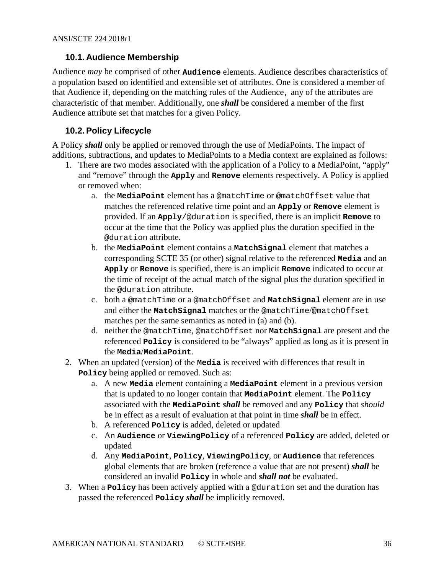#### <span id="page-35-0"></span>**10.1. Audience Membership**

Audience *may* be comprised of other **Audience** elements. Audience describes characteristics of a population based on identified and extensible set of attributes. One is considered a member of that Audience if, depending on the matching rules of the Audience, any of the attributes are characteristic of that member. Additionally, one *shall* be considered a member of the first Audience attribute set that matches for a given Policy.

## <span id="page-35-1"></span>**10.2. Policy Lifecycle**

A Policy *shall* only be applied or removed through the use of MediaPoints. The impact of additions, subtractions, and updates to MediaPoints to a Media context are explained as follows:

- 1. There are two modes associated with the application of a Policy to a MediaPoint, "apply" and "remove" through the **Apply** and **Remove** elements respectively. A Policy is applied or removed when:
	- a. the **MediaPoint** element has a @matchTime or @matchOffset value that matches the referenced relative time point and an **Apply** or **Remove** element is provided. If an **Apply**/@duration is specified, there is an implicit **Remove** to occur at the time that the Policy was applied plus the duration specified in the @duration attribute.
	- b. the **MediaPoint** element contains a **MatchSignal** element that matches a corresponding SCTE 35 (or other) signal relative to the referenced **Media** and an **Apply** or **Remove** is specified, there is an implicit **Remove** indicated to occur at the time of receipt of the actual match of the signal plus the duration specified in the @duration attribute.
	- c. both a @matchTime or a @matchOffset and **MatchSignal** element are in use and either the **MatchSignal** matches or the @matchTime/@matchOffset matches per the same semantics as noted in (a) and (b).
	- d. neither the @matchTime, @matchOffset nor **MatchSignal** are present and the referenced **Policy** is considered to be "always" applied as long as it is present in the **Media**/**MediaPoint**.
- 2. When an updated (version) of the **Media** is received with differences that result in **Policy** being applied or removed. Such as:
	- a. A new **Media** element containing a **MediaPoint** element in a previous version that is updated to no longer contain that **MediaPoint** element. The **Policy** associated with the **MediaPoint** *shall* be removed and any **Policy** that *should* be in effect as a result of evaluation at that point in time *shall* be in effect.
	- b. A referenced **Policy** is added, deleted or updated
	- c. An **Audience** or **ViewingPolicy** of a referenced **Policy** are added, deleted or updated
	- d. Any **MediaPoint**, **Policy**, **ViewingPolicy**, or **Audience** that references global elements that are broken (reference a value that are not present) *shall* be considered an invalid **Policy** in whole and *shall not* be evaluated.
- 3. When a **Policy** has been actively applied with a @duration set and the duration has passed the referenced **Policy** *shall* be implicitly removed.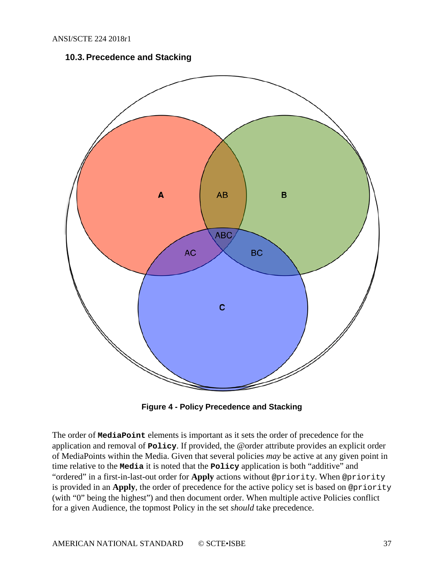#### **10.3. Precedence and Stacking**

<span id="page-36-0"></span>

**Figure 4 - Policy Precedence and Stacking**

<span id="page-36-1"></span>The order of **MediaPoint** elements is important as it sets the order of precedence for the application and removal of **Policy**. If provided, the @order attribute provides an explicit order of MediaPoints within the Media. Given that several policies *may* be active at any given point in time relative to the **Media** it is noted that the **Policy** application is both "additive" and "ordered" in a first-in-last-out order for **Apply** actions without @priority. When @priority is provided in an **Apply**, the order of precedence for the active policy set is based on @priority (with "0" being the highest") and then document order. When multiple active Policies conflict for a given Audience, the topmost Policy in the set *should* take precedence.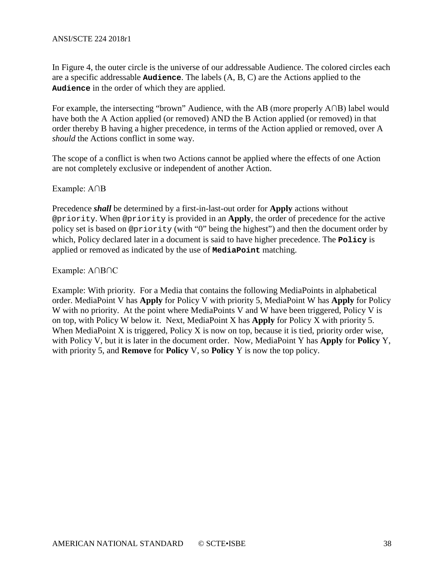In [Figure 4,](#page-36-1) the outer circle is the universe of our addressable Audience. The colored circles each are a specific addressable **Audience**. The labels (A, B, C) are the Actions applied to the **Audience** in the order of which they are applied.

For example, the intersecting "brown" Audience, with the AB (more properly A∩B) label would have both the A Action applied (or removed) AND the B Action applied (or removed) in that order thereby B having a higher precedence, in terms of the Action applied or removed, over A *should* the Actions conflict in some way.

The scope of a conflict is when two Actions cannot be applied where the effects of one Action are not completely exclusive or independent of another Action.

Example: A∩B

Precedence *shall* be determined by a first-in-last-out order for **Apply** actions without @priority. When @priority is provided in an **Apply**, the order of precedence for the active policy set is based on @priority (with "0" being the highest") and then the document order by which, Policy declared later in a document is said to have higher precedence. The **Policy** is applied or removed as indicated by the use of **MediaPoint** matching.

Example: A∩B∩C

Example: With priority. For a Media that contains the following MediaPoints in alphabetical order. MediaPoint V has **Apply** for Policy V with priority 5, MediaPoint W has **Apply** for Policy W with no priority. At the point where MediaPoints V and W have been triggered, Policy V is on top, with Policy W below it. Next, MediaPoint X has **Apply** for Policy X with priority 5. When MediaPoint X is triggered, Policy X is now on top, because it is tied, priority order wise, with Policy V, but it is later in the document order. Now, MediaPoint Y has **Apply** for **Policy** Y, with priority 5, and **Remove** for **Policy** V, so **Policy** Y is now the top policy.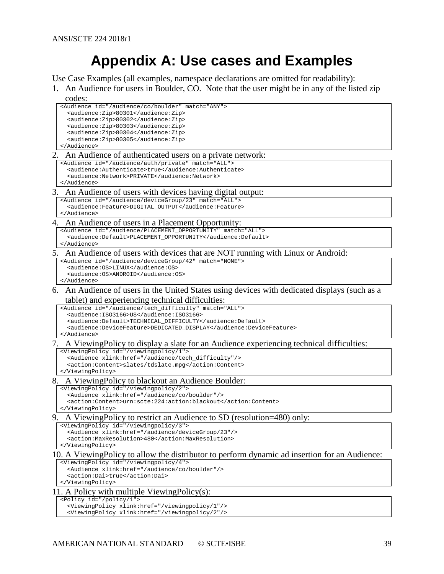# **Appendix A: Use cases and Examples**

<span id="page-38-0"></span>Use Case Examples (all examples, namespace declarations are omitted for readability):

<span id="page-38-1"></span>1. An Audience for users in Boulder, CO. Note that the user might be in any of the listed zip

<span id="page-38-2"></span>

| codes:                                                                                                  |
|---------------------------------------------------------------------------------------------------------|
| <audience id="/audience/co/boulder" match="ANY"></audience>                                             |
| <audience:zip>80301</audience:zip>                                                                      |
| <audience:zip>80302</audience:zip><br><audience:zip>80303</audience:zip>                                |
| <audience:zip>80304</audience:zip>                                                                      |
| <audience:zip>80305</audience:zip>                                                                      |
|                                                                                                         |
| 2. An Audience of authenticated users on a private network:                                             |
| <audience id="/audience/auth/private" match="ALL"></audience>                                           |
| <audience:authenticate>true</audience:authenticate>                                                     |
| <audience:network>PRIVATE</audience:network><br>                                                        |
| 3. An Audience of users with devices having digital output:                                             |
| <audience id="/audience/deviceGroup/23" match="ALL"></audience>                                         |
| <audience:feature>DIGITAL_OUTPUT</audience:feature>                                                     |
|                                                                                                         |
| 4. An Audience of users in a Placement Opportunity:                                                     |
| <audience id="/audience/PLACEMENT_OPPORTUNITY" match="ALL"></audience>                                  |
| <audience:default>PLACEMENT_OPPORTUNITY</audience:default><br>                                          |
|                                                                                                         |
| 5. An Audience of users with devices that are NOT running with Linux or Android:                        |
| <audience id="/audience/deviceGroup/42" match="NONE"><br/><audience: 0s="">LINUX</audience:></audience> |
| <audience: 0s="">ANDROID</audience:>                                                                    |
|                                                                                                         |
| 6. An Audience of users in the United States using devices with dedicated displays (such as a           |
| tablet) and experiencing technical difficulties:                                                        |
| <audience id="/audience/tech_difficulty" match="ALL"></audience>                                        |
| <audience: iso3166="">US</audience:>                                                                    |
| <audience:default>TECHNICAL_DIFFICULTY</audience:default>                                               |
| <audience:devicefeature>DEDICATED_DISPLAY</audience:devicefeature>                                      |
|                                                                                                         |
| 7. A Viewing Policy to display a slate for an Audience experiencing technical difficulties:             |
| <viewingpolicy id="/viewingpolicy/1"></viewingpolicy>                                                   |
| <audience xlink:href="/audience/tech_difficulty"></audience>                                            |
| <action:content>slates/tdslate.mpg</action:content><br>                                                 |
| 8. A Viewing Policy to blackout an Audience Boulder:                                                    |
| <viewingpolicy id="/viewingpolicy/2"></viewingpolicy>                                                   |
| <audience xlink:href="/audience/co/boulder"></audience>                                                 |
| <action:content>urn:scte:224:action:blackout</action:content>                                           |
|                                                                                                         |
| A Viewing Policy to restrict an Audience to SD (resolution=480) only:<br>9.                             |
| <viewingpolicy id="/viewingpolicy/3"></viewingpolicy>                                                   |
| <audience xlink:href="/audience/deviceGroup/23"></audience>                                             |
| <action:maxresolution>480</action:maxresolution><br>                                                    |
| 10. A ViewingPolicy to allow the distributor to perform dynamic ad insertion for an Audience:           |
| <viewingpolicy id="/viewingpolicy/4"></viewingpolicy>                                                   |
| <audience xlink:href="/audience/co/boulder"></audience>                                                 |
| <action:dai>true</action:dai>                                                                           |
|                                                                                                         |
| 11. A Policy with multiple Viewing Policy $(s)$ :                                                       |
| <policy id="/policy/1"></policy>                                                                        |
| <viewingpolicy xlink:href="/viewingpolicy/1"></viewingpolicy>                                           |
| <viewingpolicy xlink:href="/viewingpolicy/2"></viewingpolicy>                                           |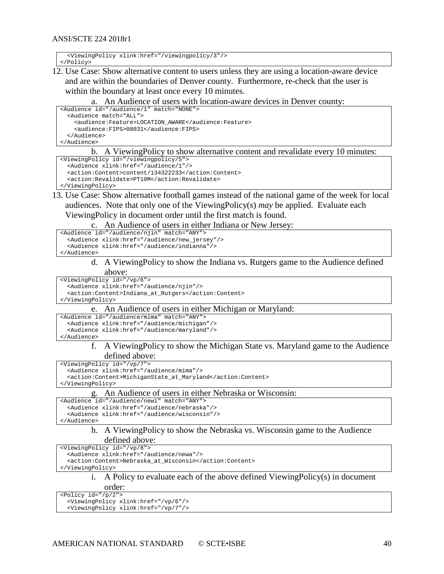<ViewingPolicy xlink:href="/viewingpolicy/3"/> </Policy>

12. Use Case: Show alternative content to users unless they are using a location-aware device and are within the boundaries of Denver county. Furthermore, re-check that the user is within the boundary at least once every 10 minutes.

#### An Audience of users with location-aware devices in Denver county:

```
<Audience id="/audience/1" match="NONE">
  <Audience match="ALL">
     <audience:Feature>LOCATION_AWARE</audience:Feature>
     <audience:FIPS>08031</audience:FIPS>
   </Audience>
</Audience>
```
#### b. A ViewingPolicy to show alternative content and revalidate every 10 minutes:

```
<ViewingPolicy id="/viewingpolicy/5">
  <Audience xlink:href="/audience/1"/>
   <action:Content>content/134322233</action:Content>
  <action:Revalidate>PT10M</action:Revalidate>
</ViewingPolicy>
```
#### 13. Use Case: Show alternative football games instead of the national game of the week for local audiences. Note that only one of the ViewingPolicy(s) *may* be applied. Evaluate each ViewingPolicy in document order until the first match is found.

c. An Audience of users in either Indiana or New Jersey:

```
<Audience id="/audience/njin" match="ANY">
  <Audience xlink:href="/audience/new_jersey"/>
   <Audience xlink:href="/audience/indianna"/>
</Audience>
```
#### d. A ViewingPolicy to show the Indiana vs. Rutgers game to the Audience defined above:

<ViewingPolicy id="/vp/6"> <Audience xlink:href="/audience/njin"/> <action:Content>Indiana\_at\_Rutgers</action:Content> </ViewingPolicy>

#### e. An Audience of users in either Michigan or Maryland:

```
<Audience id="/audience/mima" match="ANY">
  <Audience xlink:href="/audience/michigan"/>
   <Audience xlink:href="/audience/maryland"/>
```
</Audience>

#### f. A ViewingPolicy to show the Michigan State vs. Maryland game to the Audience defined above:

<ViewingPolicy id="/vp/7">

<Audience xlink:href="/audience/mima"/>

<action:Content>MichiganState\_at\_Maryland</action:Content>

</ViewingPolicy>

#### g. An Audience of users in either Nebraska or Wisconsin:

<Audience id="/audience/newi" match="ANY">

```
 <Audience xlink:href="/audience/nebraska"/>
```

```
 <Audience xlink:href="/audience/wisconsin"/>
```
</Audience>

#### h. A ViewingPolicy to show the Nebraska vs. Wisconsin game to the Audience defined above:

<ViewingPolicy id="/vp/8"> <Audience xlink:href="/audience/newa"/>

<action:Content>Nebraska\_at\_Wisconsin</action:Content>

</ViewingPolicy>

#### i. A Policy to evaluate each of the above defined ViewingPolicy(s) in document order:

<Policy id="/p/2"> <ViewingPolicy xlink:href="/vp/6"/> <ViewingPolicy xlink:href="/vp/7"/>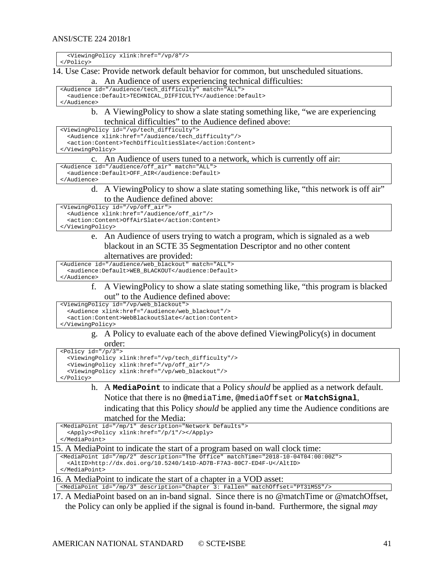<ViewingPolicy xlink:href="/vp/8"/>

</Policy>

14. Use Case: Provide network default behavior for common, but unscheduled situations.

a. An Audience of users experiencing technical difficulties:

<Audience id="/audience/tech\_difficulty" match="ALL"> <audience:Default>TECHNICAL\_DIFFICULTY</audience:Default> </Audience>

#### b. A ViewingPolicy to show a slate stating something like, "we are experiencing technical difficulties" to the Audience defined above:

<ViewingPolicy id="/vp/tech\_difficulty"> <Audience xlink:href="/audience/tech\_difficulty"/> <action:Content>TechDifficultiesSlate</action:Content>

</ViewingPolicy>

#### c. An Audience of users tuned to a network, which is currently off air:

<Audience id="/audience/off\_air" match="ALL"> <audience:Default>OFF\_AIR</audience:Default>

</Audience>

d. A ViewingPolicy to show a slate stating something like, "this network is off air" to the Audience defined above:

<ViewingPolicy id="/vp/off\_air"> <Audience xlink:href="/audience/off\_air"/> <action:Content>OffAirSlate</action:Content>

</ViewingPolicy>

e. An Audience of users trying to watch a program, which is signaled as a web blackout in an SCTE 35 Segmentation Descriptor and no other content alternatives are provided:

<Audience id="/audience/web\_blackout" match="ALL"> <audience:Default>WEB\_BLACKOUT</audience:Default>

#### </Audience>

f. A ViewingPolicy to show a slate stating something like, "this program is blacked out" to the Audience defined above:

<ViewingPolicy id="/vp/web\_blackout">

<Audience xlink:href="/audience/web\_blackout"/>

<action:Content>WebBlackoutSlate</action:Content>

</ViewingPolicy>

g. A Policy to evaluate each of the above defined ViewingPolicy(s) in document order:

<Policy id="/p/3">

```
 <ViewingPolicy xlink:href="/vp/tech_difficulty"/>
  <ViewingPolicy xlink:href="/vp/off_air"/>
   <ViewingPolicy xlink:href="/vp/web_blackout"/>
</Policy>
```
h. A **MediaPoint** to indicate that a Policy *should* be applied as a network default.

Notice that there is no @mediaTime, @mediaOffset or **MatchSignal**,

indicating that this Policy *should* be applied any time the Audience conditions are matched for the Media:

```
<MediaPoint id="/mp/1" description="Network Defaults">
   <Apply><Policy xlink:href="/p/1"/></Apply>
</MediaPoint>
```
15. A MediaPoint to indicate the start of a program based on wall clock time:

```
<MediaPoint id="/mp/2" description="The Office" matchTime="2018-10-04T04:00:00Z">
   <AltID>http://dx.doi.org/10.5240/141D-AD7B-F7A3-80C7-ED4F-U</AltID>
</MediaPoint>
```
16. A MediaPoint to indicate the start of a chapter in a VOD asset:

<MediaPoint id="/mp/3" description="Chapter 3: Fallen" matchOffset="PT31M5S"/>

17. A MediaPoint based on an in-band signal. Since there is no @matchTime or @matchOffset, the Policy can only be applied if the signal is found in-band. Furthermore, the signal *may*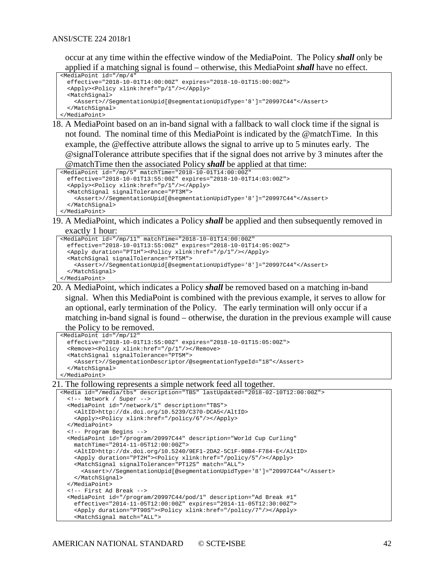occur at any time within the effective window of the MediaPoint. The Policy *shall* only be applied if a matching signal is found – otherwise, this MediaPoint *shall* have no effect.

```
<MediaPoint id="/mp/4" 
  effective="2018-10-01T14:00:00Z" expires="2018-10-01T15:00:00Z">
  <Apply><Policy xlink:href="p/1"/></Apply>
  <MatchSignal>
    <Assert>//SegmentationUpid[@segmentationUpidType='8']="20997C44"</Assert>
  </MatchSignal>
</MediaPoint>
```
18. A MediaPoint based on an in-band signal with a fallback to wall clock time if the signal is not found. The nominal time of this MediaPoint is indicated by the @matchTime. In this example, the @effective attribute allows the signal to arrive up to 5 minutes early. The @signalTolerance attribute specifies that if the signal does not arrive by 3 minutes after the @matchTime then the associated Policy *shall* be applied at that time:

```
<MediaPoint id="/mp/5" matchTime="2018-10-01T14:00:00Z" 
  effective="2018-10-01T13:55:00Z" expires="2018-10-01T14:03:00Z">
   <Apply><Policy xlink:href="p/1"/></Apply>
   <MatchSignal signalTolerance="PT3M">
     <Assert>//SegmentationUpid[@segmentationUpidType='8']="20997C44"</Assert>
  </MatchSignal>
</MediaPoint>
```
19. A MediaPoint, which indicates a Policy *shall* be applied and then subsequently removed in exactly 1 hour:

```
<MediaPoint id="/mp/11" matchTime="2018-10-01T14:00:00Z" 
   effective="2018-10-01T13:55:00Z" expires="2018-10-01T14:05:00Z">
   <Apply duration="PT1H"><Policy xlink:href="/p/1"/></Apply>
   <MatchSignal signalTolerance="PT5M">
     <Assert>//SegmentationUpid[@segmentationUpidType='8']="20997C44"</Assert>
   </MatchSignal>
</MediaPoint>
```
20. A MediaPoint, which indicates a Policy *shall* be removed based on a matching in-band signal. When this MediaPoint is combined with the previous example, it serves to allow for an optional, early termination of the Policy. The early termination will only occur if a matching in-band signal is found – otherwise, the duration in the previous example will cause

the Policy to be removed.

```
<MediaPoint id="/mp/12"
  effective="2018-10-01T13:55:00Z" expires="2018-10-01T15:05:00Z">
  <Remove><Policy xlink:href="/p/1"/></Remove>
  <MatchSignal signalTolerance="PT5M">
    <Assert>//SegmentationDescriptor/@segmentationTypeId="18"</Assert>
  </MatchSignal>
</MediaPoint>
```
#### <span id="page-41-0"></span>21. The following represents a simple network feed all together.

```
<Media id="/media/tbs" description="TBS" lastUpdated="2018-02-10T12:00:00Z">
  <!-- Network / Super -->
   <MediaPoint id="/network/1" description="TBS">
    <AltID>http://dx.doi.org/10.5239/C370-DCA5</AltID>
     <Apply><Policy xlink:href="/policy/6"/></Apply>
  </MediaPoint>
   <!-- Program Begins -->
  <MediaPoint id="/program/20997C44" description="World Cup Curling" 
    matchTime="2014-11-05T12:00:00Z">
     <AltID>http://dx.doi.org/10.5240/9EF1-2DA2-5C1F-98B4-F784-E</AltID>
     <Apply duration="PT2H"><Policy xlink:href="/policy/5"/></Apply>
     <MatchSignal signalTolerance="PT12S" match="ALL">
       <Assert>//SegmentationUpid[@segmentationUpidType='8']="20997C44"</Assert>
     </MatchSignal>
   </MediaPoint>
   <!-- First Ad Break -->
   <MediaPoint id="/program/20997C44/pod/1" description="Ad Break #1"
    effective="2014-11-05T12:00:00Z" expires="2014-11-05T12:30:00Z">
     <Apply duration="PT90S"><Policy xlink:href="/policy/7"/></Apply>
     <MatchSignal match="ALL">
```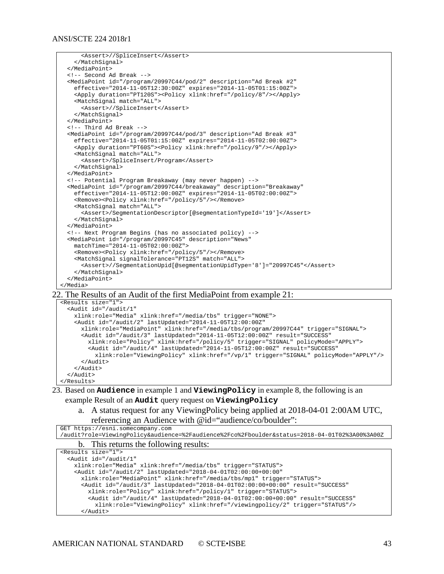```
 <Assert>//SpliceInsert</Assert>
     </MatchSignal>
   </MediaPoint>
  <!-- Second Ad Break -->
  <MediaPoint id="/program/20997C44/pod/2" description="Ad Break #2"
    effective="2014-11-05T12:30:00Z" expires="2014-11-05T01:15:00Z">
     <Apply duration="PT120S"><Policy xlink:href="/policy/8"/></Apply>
    <MatchSignal match="ALL">
       <Assert>//SpliceInsert</Assert>
     </MatchSignal>
  </MediaPoint>
  <!-- Third Ad Break -->
  <MediaPoint id="/program/20997C44/pod/3" description="Ad Break #3"
    effective="2014-11-05T01:15:00Z" expires="2014-11-05T02:00:00Z">
    <Apply duration="PT60S"><Policy xlink:href="/policy/9"/></Apply>
    <MatchSignal match="ALL">
       <Assert>/SpliceInsert/Program</Assert>
     </MatchSignal>
  </MediaPoint>
  <!-- Potential Program Breakaway (may never happen) -->
  <MediaPoint id="/program/20997C44/breakaway" description="Breakaway"
    effective="2014-11-05T12:00:00Z" expires="2014-11-05T02:00:00Z">
     <Remove><Policy xlink:href="/policy/5"/></Remove>
     <MatchSignal match="ALL">
      <Assert>/SegmentationDescriptor[@segmentationTypeId='19']</Assert>
     </MatchSignal>
  </MediaPoint>
   <!-- Next Program Begins (has no associated policy) -->
  <MediaPoint id="/program/20997C45" description="News" 
    matchTime="2014-11-05T02:00:00Z">
     <Remove><Policy xlink:href="/policy/5"/></Remove>
     <MatchSignal signalTolerance="PT12S" match="ALL">
       <Assert>//SegmentationUpid[@segmentationUpidType='8']="20997C45"</Assert>
     </MatchSignal>
  </MediaPoint>
</Media>
```
22. The Results of an Audit of the first MediaPoint from example [21:](#page-41-0)

```
<Results size="1">
   <Audit id="/audit/1" 
     xlink:role="Media" xlink:href="/media/tbs" trigger="NONE">
     <Audit id="/audit/2" lastUpdated="2014-11-05T12:00:00Z" 
       xlink:role="MediaPoint" xlink:href="/media/tbs/program/20997C44" trigger="SIGNAL">
       <Audit id="/audit/3" lastUpdated="2014-11-05T12:00:00Z" result="SUCCESS"
         xlink:role="Policy" xlink:href="/policy/5" trigger="SIGNAL" policyMode="APPLY">
         <Audit id="/audit/4" lastUpdated="2014-11-05T12:00:00Z" result="SUCCESS"
           xlink:role="ViewingPolicy" xlink:href="/vp/1" trigger="SIGNAL" policyMode="APPLY"/>
       </Audit>
     </Audit> 
   </Audit>
</Results>
```
- 23. Based on **Audience** in example [1](#page-38-1) and **ViewingPolicy** in example [8,](#page-38-2) the following is an example Result of an **Audit** query request on **ViewingPolicy**
	- a. A status request for any ViewingPolicy being applied at 2018-04-01 2:00AM UTC, referencing an Audience with @id="audience/co/boulder":

| GET https://esni.somecompany.com                                                              |
|-----------------------------------------------------------------------------------------------|
| /audit?role=ViewinqPolicy&audience=%2Faudience%2Fco%2Fboulder&status=2018-04-01T02%3A00%3A00Z |
| b. This returns the following results:                                                        |
| $2D$ can <sup>1</sup> $+$ a aireal <sup>11</sup> s                                            |

```
<Results size="1">
   <Audit id="/audit/1" 
    xlink:role="Media" xlink:href="/media/tbs" trigger="STATUS">
     <Audit id="/audit/2" lastUpdated="2018-04-01T02:00:00+00:00" 
      xlink:role="MediaPoint" xlink:href="/media/tbs/mp1" trigger="STATUS">
       <Audit id="/audit/3" lastUpdated="2018-04-01T02:00:00+00:00" result="SUCCESS"
        xlink:role="Policy" xlink:href="/policy/1" trigger="STATUS">
         <Audit id="/audit/4" lastUpdated="2018-04-01T02:00:00+00:00" result="SUCCESS"
           xlink:role="ViewingPolicy" xlink:href="/viewingpolicy/2" trigger="STATUS"/>
       </Audit>
```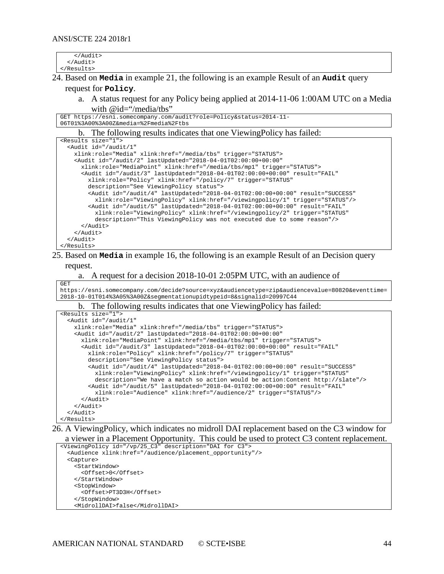</Audit> </Audit> </Results>

24. Based on **Media** in example [21,](#page-41-0) the following is an example Result of an **Audit** query

#### request for **Policy**.

a. A status request for any Policy being applied at 2014-11-06 1:00AM UTC on a Media with @id="/media/tbs"

```
GET https://esni.somecompany.com/audit?role=Policy&status=2014-11-
06T01%3A00%3A00Z&media=%2Fmedia%2Ftbs
```
#### b. The following results indicates that one ViewingPolicy has failed:

| <results size="1"></results>                                                                      |
|---------------------------------------------------------------------------------------------------|
| <audit <="" id="/audit/1" td=""></audit>                                                          |
| xlink:role="Media" xlink:href="/media/tbs" triqqer="STATUS">                                      |
| <audit <="" id="/audit/2" lastupdated="2018-04-01T02:00:00+00:00" td=""></audit>                  |
| xlink:role="MediaPoint" xlink:href="/media/tbs/mpl" triqqer="STATUS">                             |
| <audit <="" id="/audit/3" lastupdated="2018-04-01T02:00:00+00:00" result="FAIL" td=""></audit>    |
| xlink:role="Policy" xlink:href="/policy/7" triqqer="STATUS"                                       |
| description="See ViewingPolicy status">                                                           |
| <audit <="" id="/audit/4" lastupdated="2018-04-01T02:00:00+00:00" result="SUCCESS" td=""></audit> |
| xlink:role="ViewingPolicy" xlink:href="/viewingpolicy/1" trigger="STATUS"/>                       |
| <audit <="" id="/audit/5" lastupdated="2018-04-01T02:00:00+00:00" result="FAIL" td=""></audit>    |
| xlink:role="ViewingPolicy" xlink:href="/viewingpolicy/2" trigger="STATUS"                         |
| description="This ViewingPolicy was not executed due to some reason"/>                            |
| $\langle$ Audit>                                                                                  |
| $\langle$ Audit>                                                                                  |
| $\langle$ Audit>                                                                                  |
|                                                                                                   |

## 25. Based on **Media** in example 16, the following is an example Result of an Decision query

#### request.

GET

|  |  |  |  |  | a. A request for a decision 2018-10-01 2:05PM UTC, with an audience of |
|--|--|--|--|--|------------------------------------------------------------------------|
|--|--|--|--|--|------------------------------------------------------------------------|

https://esni.somecompany.com/decide?source=xyz&audiencetype=zip&audiencevalue=80820&eventtime= 2018-10-01T014%3A05%3A00Z&segmentationupidtypeid=8&signalid=20997C44

#### b. The following results indicates that one ViewingPolicy has failed:

| <results size="1"></results>                                                                      |
|---------------------------------------------------------------------------------------------------|
| <audit <="" id="/audit/1" td=""></audit>                                                          |
| xlink:role="Media" xlink:href="/media/tbs" triqqer="STATUS">                                      |
| <audit <="" id="/audit/2" lastupdated="2018-04-01T02:00:00+00:00" td=""></audit>                  |
| xlink:role="MediaPoint" xlink:href="/media/tbs/mp1" trigger="STATUS">                             |
| <audit <="" id="/audit/3" lastupdated="2018-04-01T02:00:00+00:00" result="FAIL" td=""></audit>    |
| xlink:role="Policy" xlink:href="/policy/7" triqqer="STATUS"                                       |
| description="See ViewingPolicy status">                                                           |
| <audit <="" id="/audit/4" lastupdated="2018-04-01T02:00:00+00:00" result="SUCCESS" td=""></audit> |
| xlink:role="ViewingPolicy" xlink:href="/viewingpolicy/1" trigger="STATUS"                         |
| description="We have a match so action would be action: Content http://slate"/>                   |
| <audit <="" id="/audit/5" lastupdated="2018-04-01T02:00:00+00:00" result="FAIL" td=""></audit>    |
| xlink:role="Audience" xlink:href="/audience/2" triqqer="STATUS"/>                                 |
| $\langle$ Audit>                                                                                  |
| $\langle$ Audit>                                                                                  |
| $\langle$ Audit>                                                                                  |
|                                                                                                   |

26. A ViewingPolicy, which indicates no midroll DAI replacement based on the C3 window for a viewer in a Placement Opportunity. This could be used to protect C3 content replacement.

```
<ViewingPolicy id="/vp/25_C3" description="DAI for C3">
   <Audience xlink:href="/audience/placement_opportunity"/>
   <Capture>
    <StartWindow>
       <Offset>0</Offset>
     </StartWindow>
     <StopWindow>
       <Offset>PT3D3H</Offset>
     </StopWindow>
     <MidrollDAI>false</MidrollDAI>
```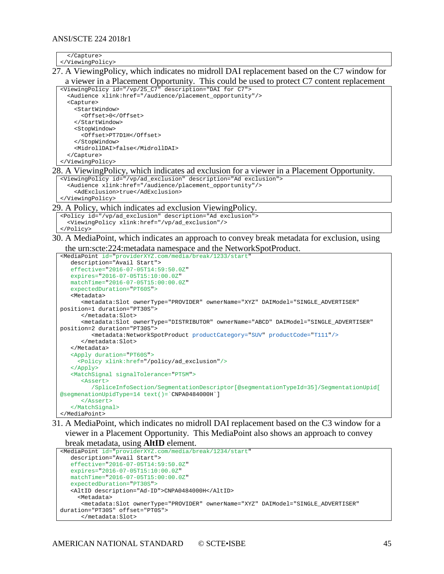$\sim$   $(Contrans)$ 

| $\cdot$ , cupcument                                                                         |
|---------------------------------------------------------------------------------------------|
|                                                                                             |
| 27. A Viewing Policy, which indicates no midroll DAI replacement based on the C7 window for |
| a viewer in a Placement Opportunity. This could be used to protect C7 content replacement   |
| <viewingpolicy description="DAI for C7" id="/vp/25 C7"></viewingpolicy>                     |
| <audience href="/audience/placement opportunity" xlink:=""></audience>                      |
|                                                                                             |

 <Capture> <StartWindow> <Offset>0</Offset> </StartWindow> <StopWindow> <Offset>PT7D1H</Offset> </StopWindow> <MidrollDAI>false</MidrollDAI> </Capture> </ViewingPolicy>

#### 28. A ViewingPolicy, which indicates ad exclusion for a viewer in a Placement Opportunity.

<ViewingPolicy id="/vp/ad\_exclusion" description="Ad exclusion"> <Audience xlink:href="/audience/placement\_opportunity"/> <AdExclusion>true</AdExclusion> </ViewingPolicy>

#### 29. A Policy, which indicates ad exclusion ViewingPolicy.

```
<Policy id="/vp/ad_exclusion" description="Ad exclusion">
   <ViewingPolicy xlink:href="/vp/ad_exclusion"/>
</Policy>
```
30. A MediaPoint, which indicates an approach to convey break metadata for exclusion, using the urn:scte:224:metadata namespace and the NetworkSpotProduct.

```
<MediaPoint id="providerXYZ.com/media/break/1233/start"
    description="Avail Start">
    effective="2016-07-05T14:59:50.0Z"
    expires="2016-07-05T15:10:00.0Z"
    matchTime="2016-07-05T15:00:00.0Z"
    expectedDuration="PT60S">
    <Metadata>
       <metadata:Slot ownerType="PROVIDER" ownerName="XYZ" DAIModel="SINGLE_ADVERTISER"
position=1 duration="PT30S">
       </metadata:Slot>
       <metadata:Slot ownerType="DISTRIBUTOR" ownerName="ABCD" DAIModel="SINGLE_ADVERTISER"
position=2 duration="PT30S">
         <metadata:NetworkSpotProduct productCategory="SUV" productCode="T111"/>
       </metadata:Slot>
    </Metadata>
    <Apply duration="PT60S">
      <Policy xlink:href="/policy/ad_exclusion"/>
    </Apply>
    <MatchSignal signalTolerance="PT5M">
       <Assert> 
          /SpliceInfoSection/SegmentationDescriptor[@segmentationTypeId=35]/SegmentationUpid[ 
@segmenationUpidType=14 text()=`CNPA0484000H`]
       </Assert>
    </MatchSignal>
</MediaPoint>
```
31. A MediaPoint, which indicates no midroll DAI replacement based on the C3 window for a viewer in a Placement Opportunity. This MediaPoint also shows an approach to convey

```
break metadata, using AltID element.
<MediaPoint id="providerXYZ.com/media/break/1234/start"
```

```
 description="Avail Start">
    effective="2016-07-05T14:59:50.0Z"
    expires="2016-07-05T15:10:00.0Z"
    matchTime="2016-07-05T15:00:00.0Z"
    expectedDuration="PT30S">
    <AltID description="Ad-ID">CNPA0484000H</AltID>
      <Metadata>
       <metadata:Slot ownerType="PROVIDER" ownerName="XYZ" DAIModel="SINGLE_ADVERTISER"
duration="PT30S" offset="PT0S">
       </metadata:Slot>
```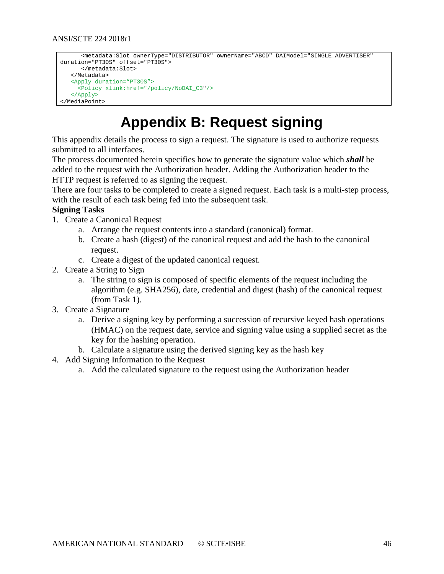```
 <metadata:Slot ownerType="DISTRIBUTOR" ownerName="ABCD" DAIModel="SINGLE_ADVERTISER"
duration="PT30S" offset="PT30S">
      </metadata:Slot>
    </Metadata>
    <Apply duration="PT30S">
     <Policy xlink:href="/policy/NoDAI_C3"/>
    </Apply>
</MediaPoint>
```
## **Appendix B: Request signing**

<span id="page-45-0"></span>This appendix details the process to sign a request. The signature is used to authorize requests submitted to all interfaces.

The process documented herein specifies how to generate the signature value which *shall* be added to the request with the Authorization header. Adding the Authorization header to the HTTP request is referred to as signing the request.

There are four tasks to be completed to create a signed request. Each task is a multi-step process, with the result of each task being fed into the subsequent task.

#### **Signing Tasks**

- 1. Create a Canonical Request
	- a. Arrange the request contents into a standard (canonical) format.
	- b. Create a hash (digest) of the canonical request and add the hash to the canonical request.
	- c. Create a digest of the updated canonical request.
- 2. Create a String to Sign
	- a. The string to sign is composed of specific elements of the request including the algorithm (e.g. SHA256), date, credential and digest (hash) of the canonical request (from Task 1).
- 3. Create a Signature
	- a. Derive a signing key by performing a succession of recursive keyed hash operations (HMAC) on the request date, service and signing value using a supplied secret as the key for the hashing operation.
	- b. Calculate a signature using the derived signing key as the hash key
- 4. Add Signing Information to the Request
	- a. Add the calculated signature to the request using the Authorization header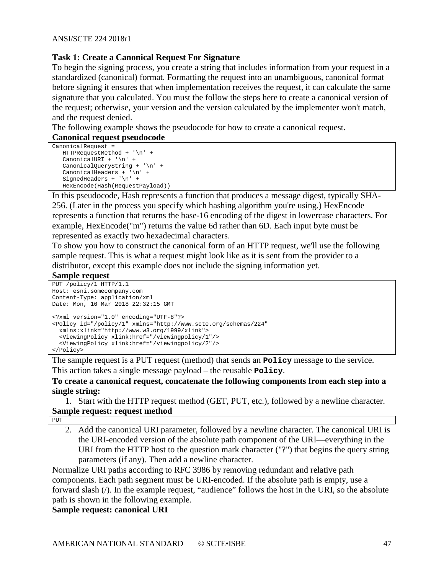#### **Task 1: Create a Canonical Request For Signature**

To begin the signing process, you create a string that includes information from your request in a standardized (canonical) format. Formatting the request into an unambiguous, canonical format before signing it ensures that when implementation receives the request, it can calculate the same signature that you calculated. You must the follow the steps here to create a canonical version of the request; otherwise, your version and the version calculated by the implementer won't match, and the request denied.

The following example shows the pseudocode for how to create a canonical request.

#### **Canonical request pseudocode**

```
CanonicalRequest = 
   HTTPRequestMethod + '\n' +
    CanonicalURI + '\n' +
    CanonicalQueryString + '\n' +
    CanonicalHeaders + '\n' +
   SignedHeaders + '\n' +
    HexEncode(Hash(RequestPayload))
```
In this pseudocode, Hash represents a function that produces a message digest, typically SHA-256. (Later in the process you specify which hashing algorithm you're using.) HexEncode represents a function that returns the base-16 encoding of the digest in lowercase characters. For example, HexEncode("m") returns the value 6d rather than 6D. Each input byte must be represented as exactly two hexadecimal characters.

To show you how to construct the canonical form of an HTTP request, we'll use the following sample request. This is what a request might look like as it is sent from the provider to a distributor, except this example does not include the signing information yet.

#### **Sample request**

```
PUT /policy/1 HTTP/1.1
Host: esni.somecompany.com
Content-Type: application/xml
Date: Mon, 16 Mar 2018 22:32:15 GMT
<?xml version="1.0" encoding="UTF-8"?>
<Policy id="/policy/1" xmlns="http://www.scte.org/schemas/224" 
  xmlns:xlink="http://www.w3.org/1999/xlink">
   <ViewingPolicy xlink:href="/viewingpolicy/1"/>
   <ViewingPolicy xlink:href="/viewingpolicy/2"/>
</Policy>
```
The sample request is a PUT request (method) that sends an **Policy** message to the service. This action takes a single message payload – the reusable **Policy**.

#### **To create a canonical request, concatenate the following components from each step into a single string:**

1. Start with the HTTP request method (GET, PUT, etc.), followed by a newline character. **Sample request: request method**

```
PUT
```
2. Add the canonical URI parameter, followed by a newline character. The canonical URI is the URI-encoded version of the absolute path component of the URI—everything in the URI from the HTTP host to the question mark character ("?") that begins the query string parameters (if any). Then add a newline character.

Normalize URI paths according to RFC 3986 by removing redundant and relative path components. Each path segment must be URI-encoded. If the absolute path is empty, use a forward slash (/). In the example request, "audience" follows the host in the URI, so the absolute path is shown in the following example.

#### **Sample request: canonical URI**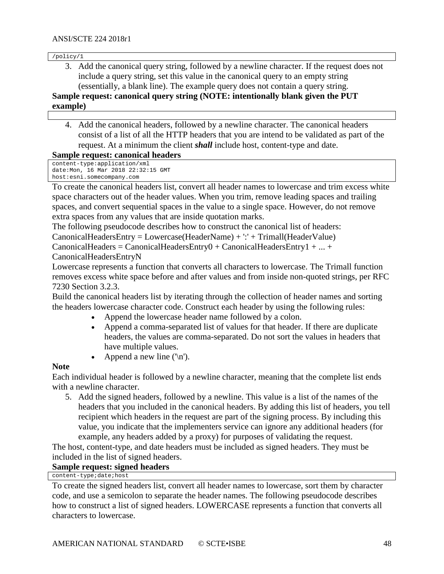/policy/1

3. Add the canonical query string, followed by a newline character. If the request does not include a query string, set this value in the canonical query to an empty string (essentially, a blank line). The example query does not contain a query string. **Sample request: canonical query string (NOTE: intentionally blank given the PUT example)**

## 4. Add the canonical headers, followed by a newline character. The canonical headers consist of a list of all the HTTP headers that you are intend to be validated as part of the request. At a minimum the client *shall* include host, content-type and date.

#### **Sample request: canonical headers**

```
content-type:application/xml
date:Mon, 16 Mar 2018 22:32:15 GMT
host:esni.somecompany.com
```
To create the canonical headers list, convert all header names to lowercase and trim excess white space characters out of the header values. When you trim, remove leading spaces and trailing spaces, and convert sequential spaces in the value to a single space. However, do not remove extra spaces from any values that are inside quotation marks.

The following pseudocode describes how to construct the canonical list of headers: CanonicalHeadersEntry = Lowercase(HeaderName) + ':' + Trimall(HeaderValue)  $CanonicalHeaders = CanonicalHeadersEntry0 + CanonicalHeadersEntry1 + ... +$ 

#### CanonicalHeadersEntryN

Lowercase represents a function that converts all characters to lowercase. The Trimall function removes excess white space before and after values and from inside non-quoted strings, per RFC 7230 Section 3.2.3.

Build the canonical headers list by iterating through the collection of header names and sorting the headers lowercase character code. Construct each header by using the following rules:

- Append the lowercase header name followed by a colon.
- Append a comma-separated list of values for that header. If there are duplicate headers, the values are comma-separated. Do not sort the values in headers that have multiple values.
- Append a new line  $(\ln)$ .

#### **Note**

Each individual header is followed by a newline character, meaning that the complete list ends with a newline character.

5. Add the signed headers, followed by a newline. This value is a list of the names of the headers that you included in the canonical headers. By adding this list of headers, you tell recipient which headers in the request are part of the signing process. By including this value, you indicate that the implementers service can ignore any additional headers (for example, any headers added by a proxy) for purposes of validating the request.

The host, content-type, and date headers must be included as signed headers. They must be included in the list of signed headers.

**Sample request: signed headers**

content-type;date;host

To create the signed headers list, convert all header names to lowercase, sort them by character code, and use a semicolon to separate the header names. The following pseudocode describes how to construct a list of signed headers. LOWERCASE represents a function that converts all characters to lowercase.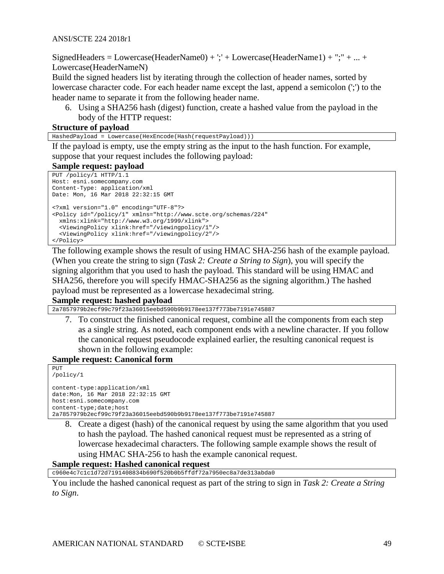SignedHeaders = Lowercase(HeaderName0) +  $\cdot$ ; + Lowercase(HeaderName1) + "; + ... + Lowercase(HeaderNameN)

Build the signed headers list by iterating through the collection of header names, sorted by lowercase character code. For each header name except the last, append a semicolon (';') to the header name to separate it from the following header name.

6. Using a SHA256 hash (digest) function, create a hashed value from the payload in the body of the HTTP request:

#### **Structure of payload**

HashedPayload = Lowercase(HexEncode(Hash(requestPayload)))

If the payload is empty, use the empty string as the input to the hash function. For example, suppose that your request includes the following payload:

#### **Sample request: payload**

```
PUT /policy/1 HTTP/1.1
Host: esni.somecompany.com
Content-Type: application/xml
Date: Mon, 16 Mar 2018 22:32:15 GMT
<?xml version="1.0" encoding="UTF-8"?>
<Policy id="/policy/1" xmlns="http://www.scte.org/schemas/224" 
  xmlns:xlink="http://www.w3.org/1999/xlink">
   <ViewingPolicy xlink:href="/viewingpolicy/1"/>
   <ViewingPolicy xlink:href="/viewingpolicy/2"/>
</Policy>
```
The following example shows the result of using HMAC SHA-256 hash of the example payload. (When you create the string to sign (*Task 2: Create a String to Sign*), you will specify the signing algorithm that you used to hash the payload. This standard will be using HMAC and SHA256, therefore you will specify HMAC-SHA256 as the signing algorithm.) The hashed payload must be represented as a lowercase hexadecimal string.

#### **Sample request: hashed payload**

2a7857979b2ecf99c79f23a36015eebd590b9b9178ee137f773be7191e745887

7. To construct the finished canonical request, combine all the components from each step as a single string. As noted, each component ends with a newline character. If you follow the canonical request pseudocode explained earlier, the resulting canonical request is shown in the following example:

#### **Sample request: Canonical form**

```
PUT
/policy/1
content-type:application/xml
date:Mon, 16 Mar 2018 22:32:15 GMT
host:esni.somecompany.com
content-type;date;host
2a7857979b2ecf99c79f23a36015eebd590b9b9178ee137f773be7191e745887
```
8. Create a digest (hash) of the canonical request by using the same algorithm that you used to hash the payload. The hashed canonical request must be represented as a string of lowercase hexadecimal characters. The following sample example shows the result of using HMAC SHA-256 to hash the example canonical request.

#### **Sample request: Hashed canonical request**

c960e4c7c1c1d72d7191408834b690f520b0b5ffdf72a7950ec8a7de313abda0

You include the hashed canonical request as part of the string to sign in *Task 2: Create a String to Sign*.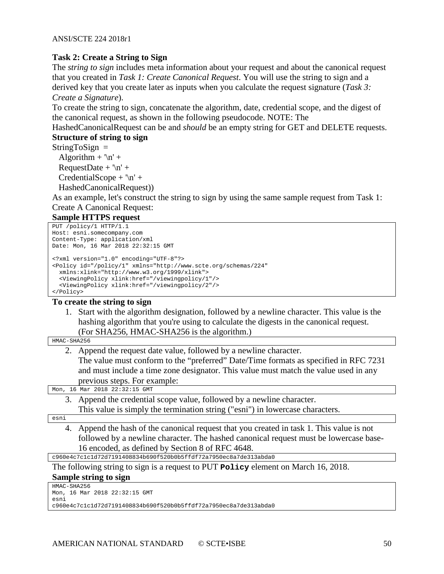#### **Task 2: Create a String to Sign**

The *string to sign* includes meta information about your request and about the canonical request that you created in *Task 1: Create Canonical Request*. You will use the string to sign and a derived key that you create later as inputs when you calculate the request signature (*Task 3: Create a Signature*).

To create the string to sign, concatenate the algorithm, date, credential scope, and the digest of the canonical request, as shown in the following pseudocode. NOTE: The

HashedCanonicalRequest can be and *should* be an empty string for GET and DELETE requests. **Structure of string to sign**

 $StringToSign =$ 

Algorithm  $+ \ln' +$ RequestDate +  $\ln'$  +  $CredentialScope + \n\ln' +$ HashedCanonicalRequest))

As an example, let's construct the string to sign by using the same sample request from Task 1:

Create A Canonical Request:

**Sample HTTPS request**

```
PUT /policy/1 HTTP/1.1
Host: esni.somecompany.com
Content-Type: application/xml
Date: Mon, 16 Mar 2018 22:32:15 GMT
<?xml version="1.0" encoding="UTF-8"?>
<Policy id="/policy/1" xmlns="http://www.scte.org/schemas/224" 
  xmlns:xlink="http://www.w3.org/1999/xlink">
   <ViewingPolicy xlink:href="/viewingpolicy/1"/>
   <ViewingPolicy xlink:href="/viewingpolicy/2"/>
</Policy>
```
#### **To create the string to sign**

1. Start with the algorithm designation, followed by a newline character. This value is the hashing algorithm that you're using to calculate the digests in the canonical request. (For SHA256, HMAC-SHA256 is the algorithm.)

| HMAC-SHA256 |  |
|-------------|--|

2. Append the request date value, followed by a newline character.

The value must conform to the "preferred" Date/Time formats as specified in RFC 7231 and must include a time zone designator. This value must match the value used in any previous steps. For example:

Mon, 16 Mar 2018 22:32:15 GMT

3. Append the credential scope value, followed by a newline character. This value is simply the termination string ("esni") in lowercase characters.

esni

4. Append the hash of the canonical request that you created in task 1. This value is not followed by a newline character. The hashed canonical request must be lowercase base-16 encoded, as defined by Section 8 of RFC 4648.

c960e4c7c1c1d72d7191408834b690f520b0b5ffdf72a7950ec8a7de313abda0

The following string to sign is a request to PUT **Policy** element on March 16, 2018.

```
Sample string to sign
```

```
HMAC-SHA256
Mon, 16 Mar 2018 22:32:15 GMT
esni
c960e4c7c1c1d72d7191408834b690f520b0b5ffdf72a7950ec8a7de313abda0
```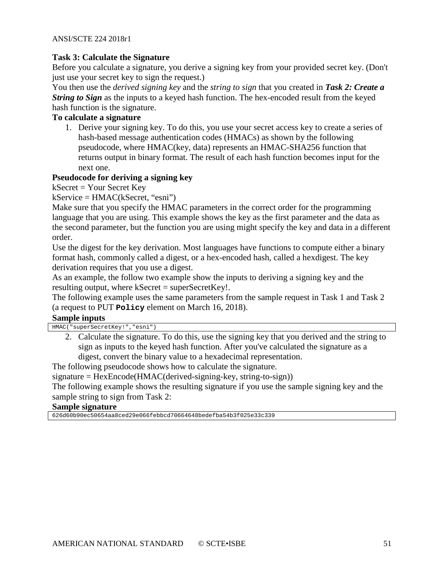#### **Task 3: Calculate the Signature**

Before you calculate a signature, you derive a signing key from your provided secret key. (Don't just use your secret key to sign the request.)

You then use the *derived signing key* and the *string to sign* that you created in *Task 2: Create a String to Sign* as the inputs to a keyed hash function. The hex-encoded result from the keyed hash function is the signature.

## **To calculate a signature**

1. Derive your signing key. To do this, you use your secret access key to create a series of hash-based message authentication codes (HMACs) as shown by the following pseudocode, where HMAC(key, data) represents an HMAC-SHA256 function that returns output in binary format. The result of each hash function becomes input for the next one.

#### **Pseudocode for deriving a signing key**

 $kSecret = Your Secret Key$ 

kService = HMAC(kSecret, "esni")

Make sure that you specify the HMAC parameters in the correct order for the programming language that you are using. This example shows the key as the first parameter and the data as the second parameter, but the function you are using might specify the key and data in a different order.

Use the digest for the key derivation. Most languages have functions to compute either a binary format hash, commonly called a digest, or a hex-encoded hash, called a hexdigest. The key derivation requires that you use a digest.

As an example, the follow two example show the inputs to deriving a signing key and the resulting output, where  $kSecret = superSecretKey!$ .

The following example uses the same parameters from the sample request in Task 1 and Task 2 (a request to PUT **Policy** element on March 16, 2018).

#### **Sample inputs**

HMAC("superSecretKey!","esni")

2. Calculate the signature. To do this, use the signing key that you derived and the string to sign as inputs to the keyed hash function. After you've calculated the signature as a digest, convert the binary value to a hexadecimal representation.

The following pseudocode shows how to calculate the signature.

signature = HexEncode(HMAC(derived-signing-key, string-to-sign))

The following example shows the resulting signature if you use the sample signing key and the sample string to sign from Task 2:

#### **Sample signature**

626d60b90ec50654aa8ced29e066febbcd70664648bedefba54b3f025e33c339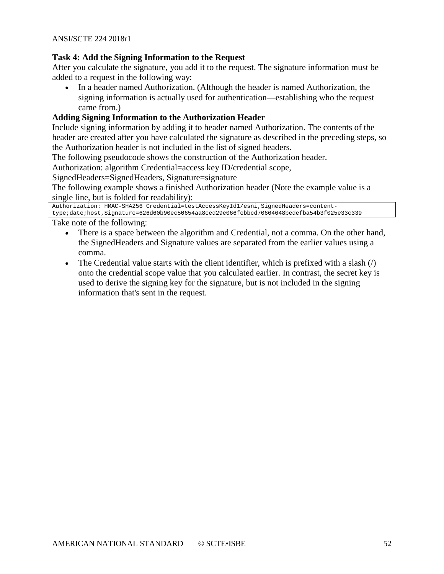#### **Task 4: Add the Signing Information to the Request**

After you calculate the signature, you add it to the request. The signature information must be added to a request in the following way:

• In a header named Authorization. (Although the header is named Authorization, the signing information is actually used for authentication—establishing who the request came from.)

## **Adding Signing Information to the Authorization Header**

Include signing information by adding it to header named Authorization. The contents of the header are created after you have calculated the signature as described in the preceding steps, so the Authorization header is not included in the list of signed headers.

The following pseudocode shows the construction of the Authorization header.

Authorization: algorithm Credential=access key ID/credential scope,

SignedHeaders=SignedHeaders, Signature=signature

The following example shows a finished Authorization header (Note the example value is a single line, but is folded for readability):

```
Authorization: HMAC-SHA256 Credential=testAccessKeyId1/esni,SignedHeaders=content-
type;date;host,Signature=626d60b90ec50654aa8ced29e066febbcd70664648bedefba54b3f025e33c339
```
Take note of the following:

- There is a space between the algorithm and Credential, not a comma. On the other hand, the SignedHeaders and Signature values are separated from the earlier values using a comma.
- The Credential value starts with the client identifier, which is prefixed with a slash  $\left\langle \right\rangle$ onto the credential scope value that you calculated earlier. In contrast, the secret key is used to derive the signing key for the signature, but is not included in the signing information that's sent in the request.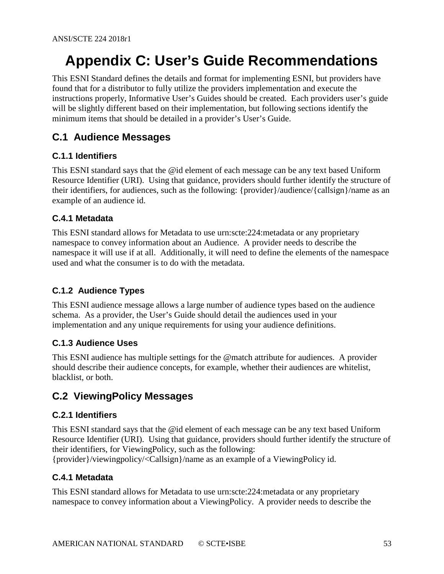# <span id="page-52-0"></span>**Appendix C: User's Guide Recommendations**

This ESNI Standard defines the details and format for implementing ESNI, but providers have found that for a distributor to fully utilize the providers implementation and execute the instructions properly, Informative User's Guides should be created. Each providers user's guide will be slightly different based on their implementation, but following sections identify the minimum items that should be detailed in a provider's User's Guide.

## <span id="page-52-1"></span>**C.1 Audience Messages**

## <span id="page-52-2"></span>**C.1.1 Identifiers**

This ESNI standard says that the @id element of each message can be any text based Uniform Resource Identifier (URI). Using that guidance, providers should further identify the structure of their identifiers, for audiences, such as the following: {provider}/audience/{callsign}/name as an example of an audience id.

## <span id="page-52-3"></span>**C.4.1 Metadata**

This ESNI standard allows for Metadata to use urn:scte:224:metadata or any proprietary namespace to convey information about an Audience. A provider needs to describe the namespace it will use if at all. Additionally, it will need to define the elements of the namespace used and what the consumer is to do with the metadata.

## <span id="page-52-4"></span>**C.1.2 Audience Types**

This ESNI audience message allows a large number of audience types based on the audience schema. As a provider, the User's Guide should detail the audiences used in your implementation and any unique requirements for using your audience definitions.

## <span id="page-52-5"></span>**C.1.3 Audience Uses**

This ESNI audience has multiple settings for the @match attribute for audiences. A provider should describe their audience concepts, for example, whether their audiences are whitelist, blacklist, or both.

## <span id="page-52-6"></span>**C.2 ViewingPolicy Messages**

#### <span id="page-52-7"></span>**C.2.1 Identifiers**

This ESNI standard says that the @id element of each message can be any text based Uniform Resource Identifier (URI). Using that guidance, providers should further identify the structure of their identifiers, for ViewingPolicy, such as the following:

<span id="page-52-8"></span>{provider}/viewingpolicy/<Callsign}/name as an example of a ViewingPolicy id.

#### **C.4.1 Metadata**

This ESNI standard allows for Metadata to use urn:scte:224:metadata or any proprietary namespace to convey information about a ViewingPolicy. A provider needs to describe the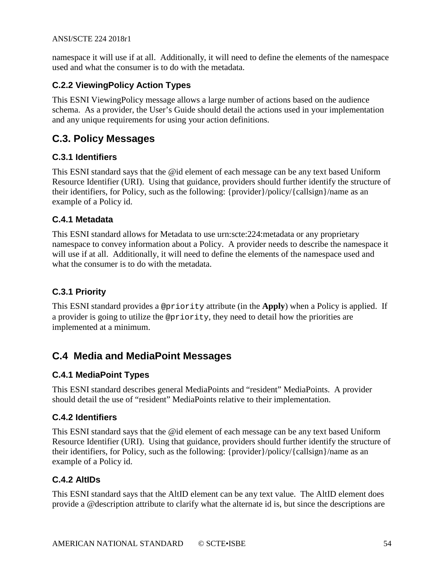namespace it will use if at all. Additionally, it will need to define the elements of the namespace used and what the consumer is to do with the metadata.

## <span id="page-53-0"></span>**C.2.2 ViewingPolicy Action Types**

This ESNI ViewingPolicy message allows a large number of actions based on the audience schema. As a provider, the User's Guide should detail the actions used in your implementation and any unique requirements for using your action definitions.

## <span id="page-53-1"></span>**C.3. Policy Messages**

## <span id="page-53-2"></span>**C.3.1 Identifiers**

This ESNI standard says that the @id element of each message can be any text based Uniform Resource Identifier (URI). Using that guidance, providers should further identify the structure of their identifiers, for Policy, such as the following: {provider}/policy/{callsign}/name as an example of a Policy id.

## <span id="page-53-3"></span>**C.4.1 Metadata**

This ESNI standard allows for Metadata to use urn:scte:224:metadata or any proprietary namespace to convey information about a Policy. A provider needs to describe the namespace it will use if at all. Additionally, it will need to define the elements of the namespace used and what the consumer is to do with the metadata.

## <span id="page-53-4"></span>**C.3.1 Priority**

This ESNI standard provides a @priority attribute (in the **Apply**) when a Policy is applied. If a provider is going to utilize the @priority, they need to detail how the priorities are implemented at a minimum.

## <span id="page-53-5"></span>**C.4 Media and MediaPoint Messages**

## <span id="page-53-6"></span>**C.4.1 MediaPoint Types**

This ESNI standard describes general MediaPoints and "resident" MediaPoints. A provider should detail the use of "resident" MediaPoints relative to their implementation.

#### <span id="page-53-7"></span>**C.4.2 Identifiers**

This ESNI standard says that the @id element of each message can be any text based Uniform Resource Identifier (URI). Using that guidance, providers should further identify the structure of their identifiers, for Policy, such as the following: {provider}/policy/{callsign}/name as an example of a Policy id.

## <span id="page-53-8"></span>**C.4.2 AltIDs**

This ESNI standard says that the AltID element can be any text value. The AltID element does provide a @description attribute to clarify what the alternate id is, but since the descriptions are